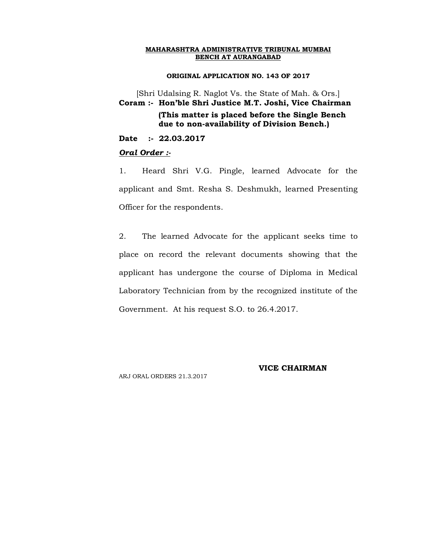#### **ORIGINAL APPLICATION NO. 143 OF 2017**

[Shri Udalsing R. Naglot Vs. the State of Mah. & Ors.] **Coram :- Hon'ble Shri Justice M.T. Joshi, Vice Chairman (This matter is placed before the Single Bench due to non-availability of Division Bench.)**

**Date :- 22.03.2017**

#### *Oral Order :-*

1. Heard Shri V.G. Pingle, learned Advocate for the applicant and Smt. Resha S. Deshmukh, learned Presenting Officer for the respondents.

2. The learned Advocate for the applicant seeks time to place on record the relevant documents showing that the applicant has undergone the course of Diploma in Medical Laboratory Technician from by the recognized institute of the Government. At his request S.O. to 26.4.2017.

ARJ ORAL ORDERS 21.3.2017

### **VICE CHAIRMAN**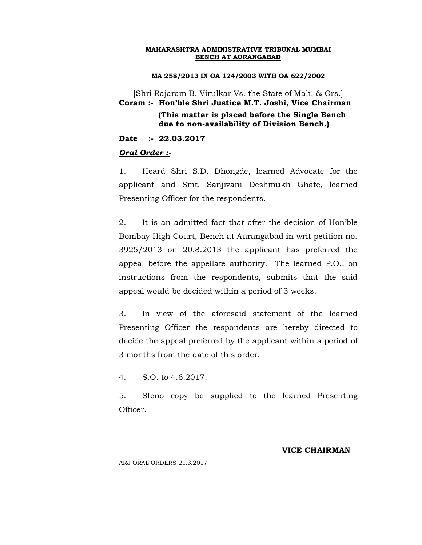#### **MA 258/2013 IN OA 124/2003 WITH OA 622/2002**

[Shri Rajaram B. Virulkar Vs. the State of Mah. & Ors.] **Coram :- Hon'ble Shri Justice M.T. Joshi, Vice Chairman**

 **(This matter is placed before the Single Bench due to non-availability of Division Bench.)**

**Date :- 22.03.2017**

#### *Oral Order :-*

1. Heard Shri S.D. Dhongde, learned Advocate for the applicant and Smt. Sanjivani Deshmukh Ghate, learned Presenting Officer for the respondents.

2. It is an admitted fact that after the decision of Hon'ble Bombay High Court, Bench at Aurangabad in writ petition no. 3925/2013 on 20.8.2013 the applicant has preferred the appeal before the appellate authority. The learned P.O., on instructions from the respondents, submits that the said appeal would be decided within a period of 3 weeks.

3. In view of the aforesaid statement of the learned Presenting Officer the respondents are hereby directed to decide the appeal preferred by the applicant within a period of 3 months from the date of this order.

4. S.O. to 4.6.2017.

5. Steno copy be supplied to the learned Presenting Officer.

#### **VICE CHAIRMAN**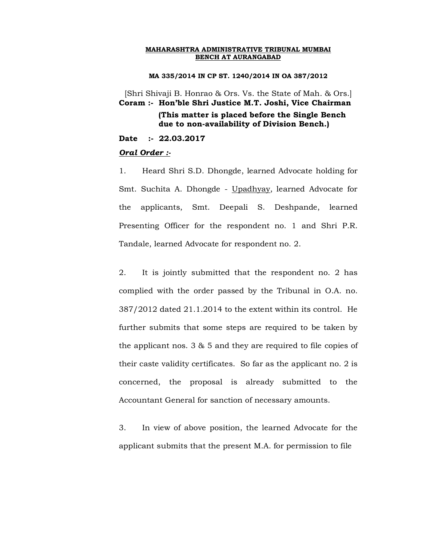#### **MA 335/2014 IN CP ST. 1240/2014 IN OA 387/2012**

[Shri Shivaji B. Honrao & Ors. Vs. the State of Mah. & Ors.] **Coram :- Hon'ble Shri Justice M.T. Joshi, Vice Chairman**

# **(This matter is placed before the Single Bench due to non-availability of Division Bench.)**

**Date :- 22.03.2017**

#### *Oral Order :-*

1. Heard Shri S.D. Dhongde, learned Advocate holding for Smt. Suchita A. Dhongde - Upadhyay, learned Advocate for the applicants, Smt. Deepali S. Deshpande, learned Presenting Officer for the respondent no. 1 and Shri P.R. Tandale, learned Advocate for respondent no. 2.

2. It is jointly submitted that the respondent no. 2 has complied with the order passed by the Tribunal in O.A. no. 387/2012 dated 21.1.2014 to the extent within its control. He further submits that some steps are required to be taken by the applicant nos. 3 & 5 and they are required to file copies of their caste validity certificates. So far as the applicant no. 2 is concerned, the proposal is already submitted to the Accountant General for sanction of necessary amounts.

3. In view of above position, the learned Advocate for the applicant submits that the present M.A. for permission to file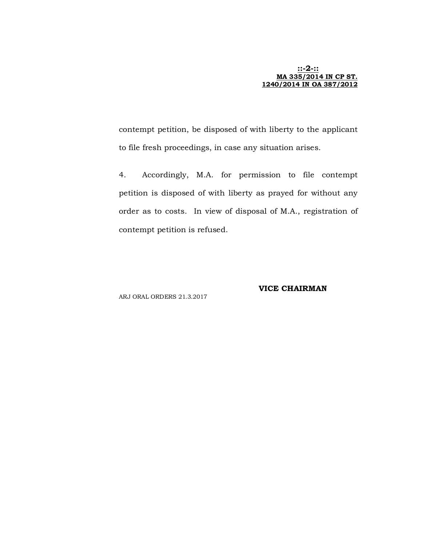#### **::-2-:: MA 335/2014 IN CP ST. 1240/2014 IN OA 387/2012**

contempt petition, be disposed of with liberty to the applicant to file fresh proceedings, in case any situation arises.

4. Accordingly, M.A. for permission to file contempt petition is disposed of with liberty as prayed for without any order as to costs. In view of disposal of M.A., registration of contempt petition is refused.

# **VICE CHAIRMAN**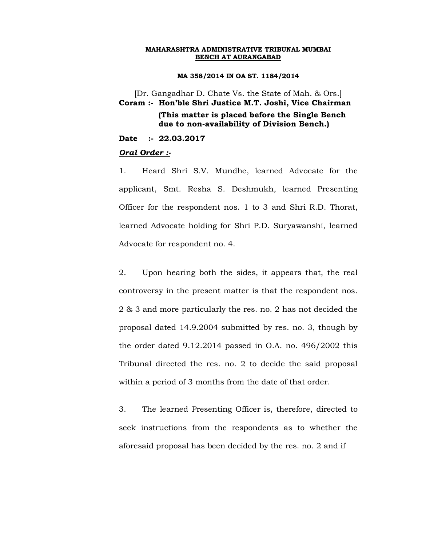#### **MA 358/2014 IN OA ST. 1184/2014**

[Dr. Gangadhar D. Chate Vs. the State of Mah. & Ors.] **Coram :- Hon'ble Shri Justice M.T. Joshi, Vice Chairman (This matter is placed before the Single Bench due to non-availability of Division Bench.)**

**Date :- 22.03.2017**

#### *Oral Order :-*

1. Heard Shri S.V. Mundhe, learned Advocate for the applicant, Smt. Resha S. Deshmukh, learned Presenting Officer for the respondent nos. 1 to 3 and Shri R.D. Thorat, learned Advocate holding for Shri P.D. Suryawanshi, learned Advocate for respondent no. 4.

2. Upon hearing both the sides, it appears that, the real controversy in the present matter is that the respondent nos. 2 & 3 and more particularly the res. no. 2 has not decided the proposal dated 14.9.2004 submitted by res. no. 3, though by the order dated 9.12.2014 passed in O.A. no. 496/2002 this Tribunal directed the res. no. 2 to decide the said proposal within a period of 3 months from the date of that order.

3. The learned Presenting Officer is, therefore, directed to seek instructions from the respondents as to whether the aforesaid proposal has been decided by the res. no. 2 and if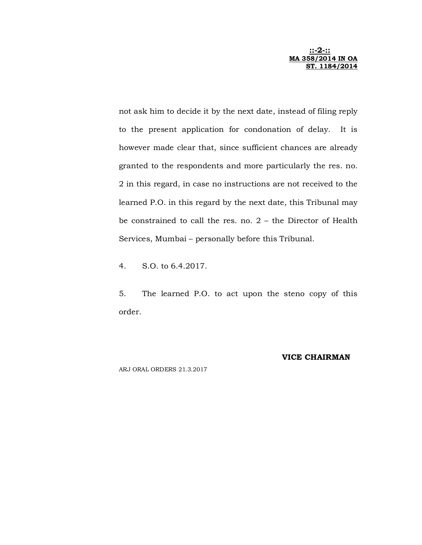**::-2-:: MA 358/2014 IN OA ST. 1184/2014** 

not ask him to decide it by the next date, instead of filing reply to the present application for condonation of delay. It is however made clear that, since sufficient chances are already granted to the respondents and more particularly the res. no. 2 in this regard, in case no instructions are not received to the learned P.O. in this regard by the next date, this Tribunal may be constrained to call the res. no. 2 – the Director of Health Services, Mumbai – personally before this Tribunal.

4. S.O. to 6.4.2017.

5. The learned P.O. to act upon the steno copy of this order.

### **VICE CHAIRMAN**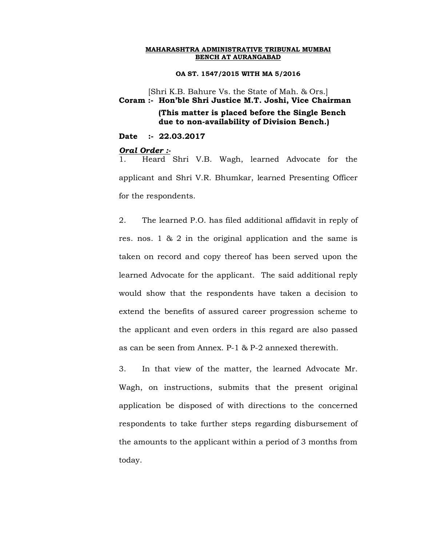#### **OA ST. 1547/2015 WITH MA 5/2016**

[Shri K.B. Bahure Vs. the State of Mah. & Ors.] **Coram :- Hon'ble Shri Justice M.T. Joshi, Vice Chairman**

# **(This matter is placed before the Single Bench due to non-availability of Division Bench.)**

**Date :- 22.03.2017**

#### *Oral Order :-*

1. Heard Shri V.B. Wagh, learned Advocate for the applicant and Shri V.R. Bhumkar, learned Presenting Officer for the respondents.

2. The learned P.O. has filed additional affidavit in reply of res. nos. 1 & 2 in the original application and the same is taken on record and copy thereof has been served upon the learned Advocate for the applicant. The said additional reply would show that the respondents have taken a decision to extend the benefits of assured career progression scheme to the applicant and even orders in this regard are also passed as can be seen from Annex. P-1 & P-2 annexed therewith.

3. In that view of the matter, the learned Advocate Mr. Wagh, on instructions, submits that the present original application be disposed of with directions to the concerned respondents to take further steps regarding disbursement of the amounts to the applicant within a period of 3 months from today.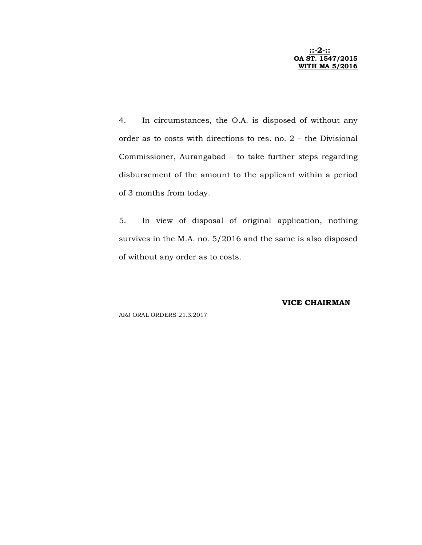**::-2-:: OA ST. 1547/2015 WITH MA 5/2016** 

4. In circumstances, the O.A. is disposed of without any order as to costs with directions to res. no. 2 – the Divisional Commissioner, Aurangabad – to take further steps regarding disbursement of the amount to the applicant within a period of 3 months from today.

5. In view of disposal of original application, nothing survives in the M.A. no. 5/2016 and the same is also disposed of without any order as to costs.

**VICE CHAIRMAN**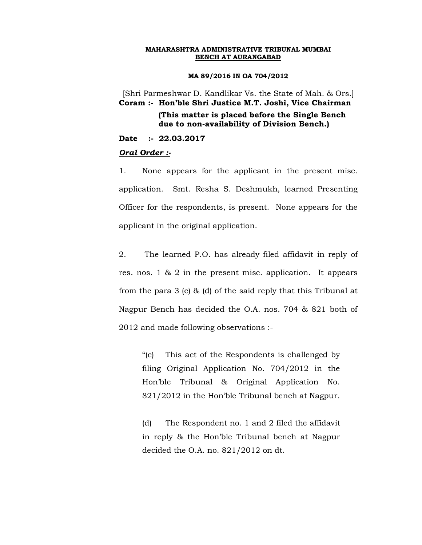#### **MA 89/2016 IN OA 704/2012**

[Shri Parmeshwar D. Kandlikar Vs. the State of Mah. & Ors.] **Coram :- Hon'ble Shri Justice M.T. Joshi, Vice Chairman**

# **(This matter is placed before the Single Bench due to non-availability of Division Bench.)**

**Date :- 22.03.2017**

#### *Oral Order :-*

1. None appears for the applicant in the present misc. application. Smt. Resha S. Deshmukh, learned Presenting Officer for the respondents, is present. None appears for the applicant in the original application.

2. The learned P.O. has already filed affidavit in reply of res. nos. 1 & 2 in the present misc. application. It appears from the para 3 (c) & (d) of the said reply that this Tribunal at Nagpur Bench has decided the O.A. nos. 704 & 821 both of 2012 and made following observations :-

"(c) This act of the Respondents is challenged by filing Original Application No. 704/2012 in the Hon'ble Tribunal & Original Application No. 821/2012 in the Hon'ble Tribunal bench at Nagpur.

(d) The Respondent no. 1 and 2 filed the affidavit in reply & the Hon'ble Tribunal bench at Nagpur decided the O.A. no. 821/2012 on dt.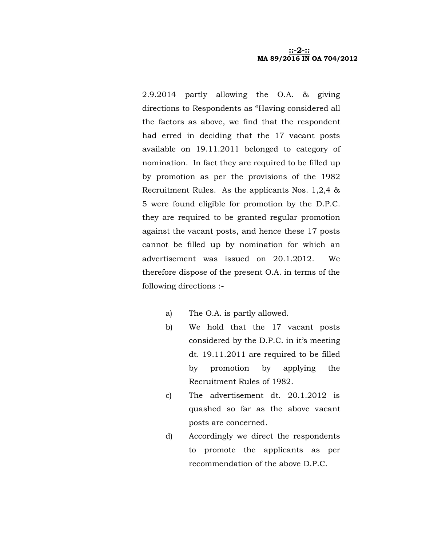2.9.2014 partly allowing the O.A. & giving directions to Respondents as "Having considered all the factors as above, we find that the respondent had erred in deciding that the 17 vacant posts available on 19.11.2011 belonged to category of nomination. In fact they are required to be filled up by promotion as per the provisions of the 1982 Recruitment Rules. As the applicants Nos. 1,2,4 & 5 were found eligible for promotion by the D.P.C. they are required to be granted regular promotion against the vacant posts, and hence these 17 posts cannot be filled up by nomination for which an advertisement was issued on 20.1.2012. We therefore dispose of the present O.A. in terms of the following directions :-

- a) The O.A. is partly allowed.
- b) We hold that the 17 vacant posts considered by the D.P.C. in it's meeting dt. 19.11.2011 are required to be filled by promotion by applying the Recruitment Rules of 1982.
- c) The advertisement dt. 20.1.2012 is quashed so far as the above vacant posts are concerned.
- d) Accordingly we direct the respondents to promote the applicants as per recommendation of the above D.P.C.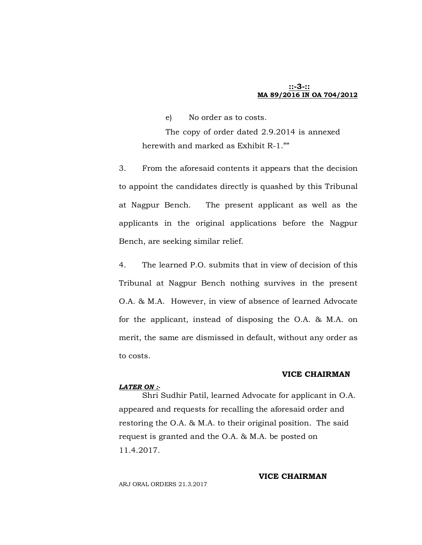### **::-3-:: MA 89/2016 IN OA 704/2012**

e) No order as to costs.

The copy of order dated 2.9.2014 is annexed herewith and marked as Exhibit R-1.""

3. From the aforesaid contents it appears that the decision to appoint the candidates directly is quashed by this Tribunal at Nagpur Bench. The present applicant as well as the applicants in the original applications before the Nagpur Bench, are seeking similar relief.

4. The learned P.O. submits that in view of decision of this Tribunal at Nagpur Bench nothing survives in the present O.A. & M.A. However, in view of absence of learned Advocate for the applicant, instead of disposing the O.A. & M.A. on merit, the same are dismissed in default, without any order as to costs.

#### **VICE CHAIRMAN**

#### *LATER ON :-*

Shri Sudhir Patil, learned Advocate for applicant in O.A. appeared and requests for recalling the aforesaid order and restoring the O.A. & M.A. to their original position. The said request is granted and the O.A. & M.A. be posted on 11.4.2017.

ARJ ORAL ORDERS 21.3.2017

#### **VICE CHAIRMAN**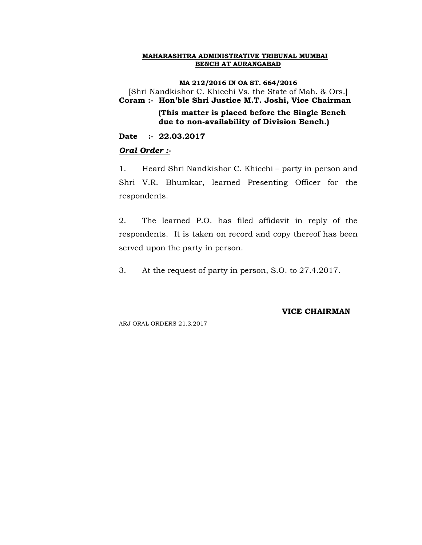**MA 212/2016 IN OA ST. 664/2016** [Shri Nandkishor C. Khicchi Vs. the State of Mah. & Ors.] **Coram :- Hon'ble Shri Justice M.T. Joshi, Vice Chairman**

 **(This matter is placed before the Single Bench due to non-availability of Division Bench.)**

**Date :- 22.03.2017**

### *Oral Order :-*

1. Heard Shri Nandkishor C. Khicchi – party in person and Shri V.R. Bhumkar, learned Presenting Officer for the respondents.

2. The learned P.O. has filed affidavit in reply of the respondents. It is taken on record and copy thereof has been served upon the party in person.

3. At the request of party in person, S.O. to 27.4.2017.

#### **VICE CHAIRMAN**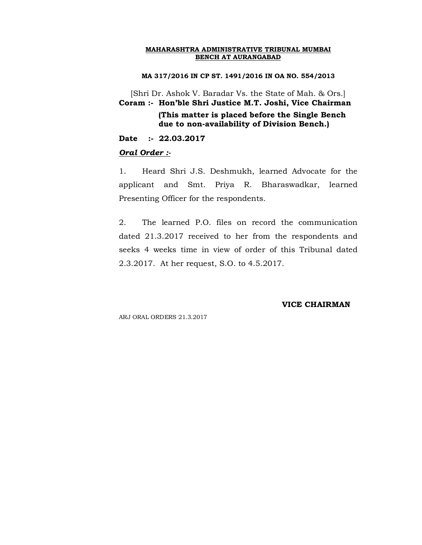#### **MA 317/2016 IN CP ST. 1491/2016 IN OA NO. 554/2013**

[Shri Dr. Ashok V. Baradar Vs. the State of Mah. & Ors.] **Coram :- Hon'ble Shri Justice M.T. Joshi, Vice Chairman**

> **(This matter is placed before the Single Bench due to non-availability of Division Bench.)**

**Date :- 22.03.2017**

#### *Oral Order :-*

1. Heard Shri J.S. Deshmukh, learned Advocate for the applicant and Smt. Priya R. Bharaswadkar, learned Presenting Officer for the respondents.

2. The learned P.O. files on record the communication dated 21.3.2017 received to her from the respondents and seeks 4 weeks time in view of order of this Tribunal dated 2.3.2017. At her request, S.O. to 4.5.2017.

#### **VICE CHAIRMAN**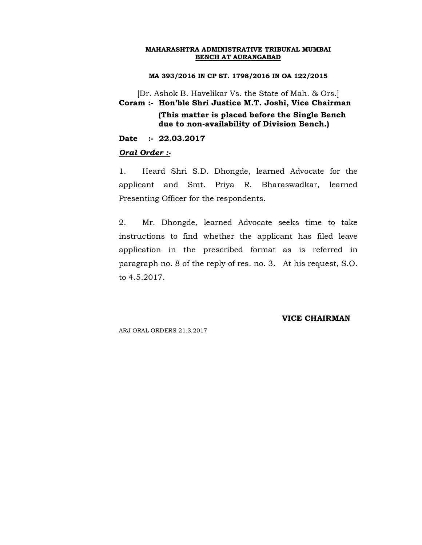#### **MA 393/2016 IN CP ST. 1798/2016 IN OA 122/2015**

[Dr. Ashok B. Havelikar Vs. the State of Mah. & Ors.] **Coram :- Hon'ble Shri Justice M.T. Joshi, Vice Chairman (This matter is placed before the Single Bench** 

 **due to non-availability of Division Bench.)**

**Date :- 22.03.2017**

#### *Oral Order :-*

1. Heard Shri S.D. Dhongde, learned Advocate for the applicant and Smt. Priya R. Bharaswadkar, learned Presenting Officer for the respondents.

2. Mr. Dhongde, learned Advocate seeks time to take instructions to find whether the applicant has filed leave application in the prescribed format as is referred in paragraph no. 8 of the reply of res. no. 3. At his request, S.O. to 4.5.2017.

#### **VICE CHAIRMAN**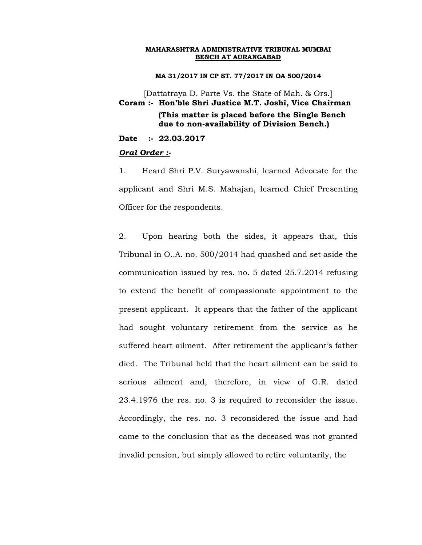**MA 31/2017 IN CP ST. 77/2017 IN OA 500/2014**

[Dattatraya D. Parte Vs. the State of Mah. & Ors.] **Coram :- Hon'ble Shri Justice M.T. Joshi, Vice Chairman (This matter is placed before the Single Bench due to non-availability of Division Bench.)**

**Date :- 22.03.2017**

#### *Oral Order :-*

1. Heard Shri P.V. Suryawanshi, learned Advocate for the applicant and Shri M.S. Mahajan, learned Chief Presenting Officer for the respondents.

2. Upon hearing both the sides, it appears that, this Tribunal in O..A. no. 500/2014 had quashed and set aside the communication issued by res. no. 5 dated 25.7.2014 refusing to extend the benefit of compassionate appointment to the present applicant. It appears that the father of the applicant had sought voluntary retirement from the service as he suffered heart ailment. After retirement the applicant's father died. The Tribunal held that the heart ailment can be said to serious ailment and, therefore, in view of G.R. dated 23.4.1976 the res. no. 3 is required to reconsider the issue. Accordingly, the res. no. 3 reconsidered the issue and had came to the conclusion that as the deceased was not granted invalid pension, but simply allowed to retire voluntarily, the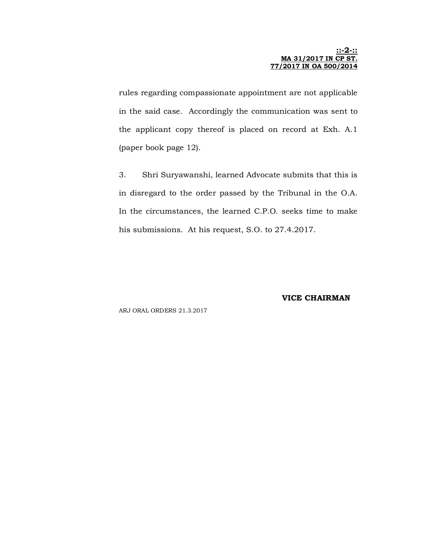#### **::-2-:: MA 31/2017 IN CP ST. 77/2017 IN OA 500/2014**

rules regarding compassionate appointment are not applicable in the said case. Accordingly the communication was sent to the applicant copy thereof is placed on record at Exh. A.1 (paper book page 12).

3. Shri Suryawanshi, learned Advocate submits that this is in disregard to the order passed by the Tribunal in the O.A. In the circumstances, the learned C.P.O. seeks time to make his submissions. At his request, S.O. to 27.4.2017.

#### **VICE CHAIRMAN**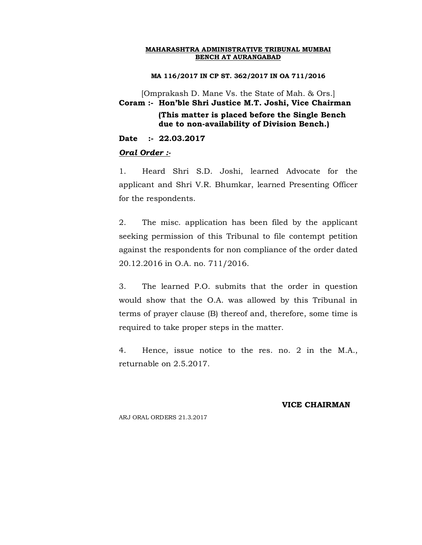**MA 116/2017 IN CP ST. 362/2017 IN OA 711/2016**

[Omprakash D. Mane Vs. the State of Mah. & Ors.] **Coram :- Hon'ble Shri Justice M.T. Joshi, Vice Chairman (This matter is placed before the Single Bench due to non-availability of Division Bench.)**

**Date :- 22.03.2017**

#### *Oral Order :-*

1. Heard Shri S.D. Joshi, learned Advocate for the applicant and Shri V.R. Bhumkar, learned Presenting Officer for the respondents.

2. The misc. application has been filed by the applicant seeking permission of this Tribunal to file contempt petition against the respondents for non compliance of the order dated 20.12.2016 in O.A. no. 711/2016.

3. The learned P.O. submits that the order in question would show that the O.A. was allowed by this Tribunal in terms of prayer clause (B) thereof and, therefore, some time is required to take proper steps in the matter.

4. Hence, issue notice to the res. no. 2 in the M.A., returnable on 2.5.2017.

### **VICE CHAIRMAN**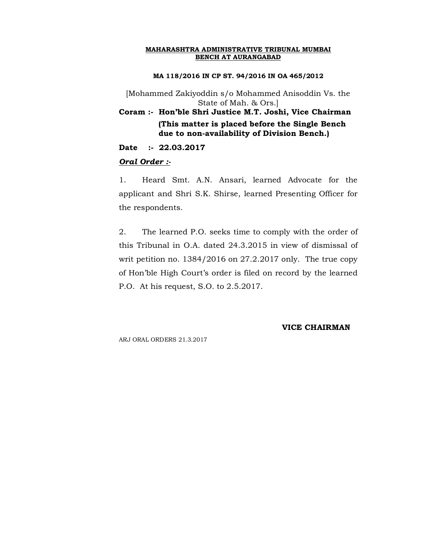#### **MA 118/2016 IN CP ST. 94/2016 IN OA 465/2012**

[Mohammed Zakiyoddin s/o Mohammed Anisoddin Vs. the State of Mah. & Ors.]

**Coram :- Hon'ble Shri Justice M.T. Joshi, Vice Chairman (This matter is placed before the Single Bench due to non-availability of Division Bench.)**

**Date :- 22.03.2017**

#### *Oral Order :-*

1. Heard Smt. A.N. Ansari, learned Advocate for the applicant and Shri S.K. Shirse, learned Presenting Officer for the respondents.

2. The learned P.O. seeks time to comply with the order of this Tribunal in O.A. dated 24.3.2015 in view of dismissal of writ petition no. 1384/2016 on 27.2.2017 only. The true copy of Hon'ble High Court's order is filed on record by the learned P.O. At his request, S.O. to 2.5.2017.

### **VICE CHAIRMAN**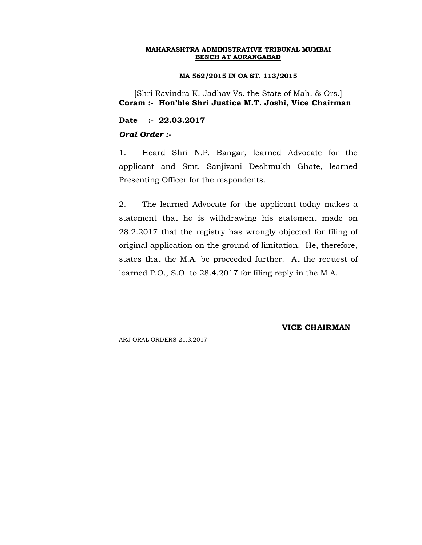#### **MA 562/2015 IN OA ST. 113/2015**

[Shri Ravindra K. Jadhav Vs. the State of Mah. & Ors.] **Coram :- Hon'ble Shri Justice M.T. Joshi, Vice Chairman**

**Date :- 22.03.2017**

#### *Oral Order :-*

1. Heard Shri N.P. Bangar, learned Advocate for the applicant and Smt. Sanjivani Deshmukh Ghate, learned Presenting Officer for the respondents.

2. The learned Advocate for the applicant today makes a statement that he is withdrawing his statement made on 28.2.2017 that the registry has wrongly objected for filing of original application on the ground of limitation. He, therefore, states that the M.A. be proceeded further. At the request of learned P.O., S.O. to 28.4.2017 for filing reply in the M.A.

**VICE CHAIRMAN**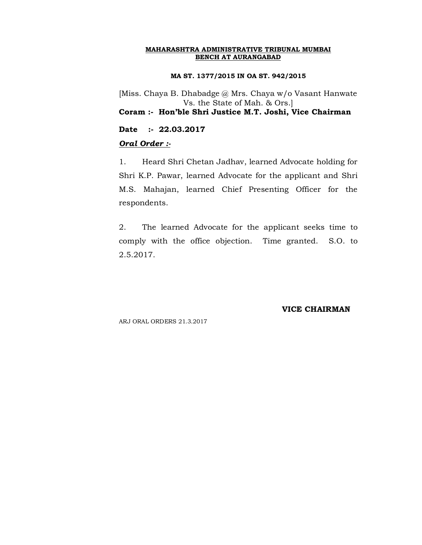#### **MA ST. 1377/2015 IN OA ST. 942/2015**

[Miss. Chaya B. Dhabadge @ Mrs. Chaya w/o Vasant Hanwate Vs. the State of Mah. & Ors.] **Coram :- Hon'ble Shri Justice M.T. Joshi, Vice Chairman**

**Date :- 22.03.2017**

# *Oral Order :-*

1. Heard Shri Chetan Jadhav, learned Advocate holding for Shri K.P. Pawar, learned Advocate for the applicant and Shri M.S. Mahajan, learned Chief Presenting Officer for the respondents.

2. The learned Advocate for the applicant seeks time to comply with the office objection. Time granted. S.O. to 2.5.2017.

**VICE CHAIRMAN**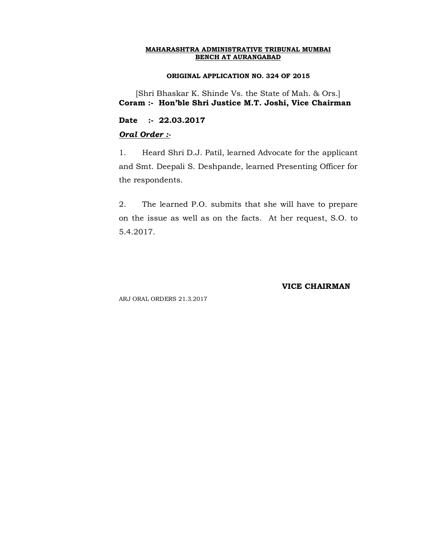#### **ORIGINAL APPLICATION NO. 324 OF 2015**

[Shri Bhaskar K. Shinde Vs. the State of Mah. & Ors.] **Coram :- Hon'ble Shri Justice M.T. Joshi, Vice Chairman**

**Date :- 22.03.2017**

#### *Oral Order :-*

1. Heard Shri D.J. Patil, learned Advocate for the applicant and Smt. Deepali S. Deshpande, learned Presenting Officer for the respondents.

2. The learned P.O. submits that she will have to prepare on the issue as well as on the facts. At her request, S.O. to 5.4.2017.

#### **VICE CHAIRMAN**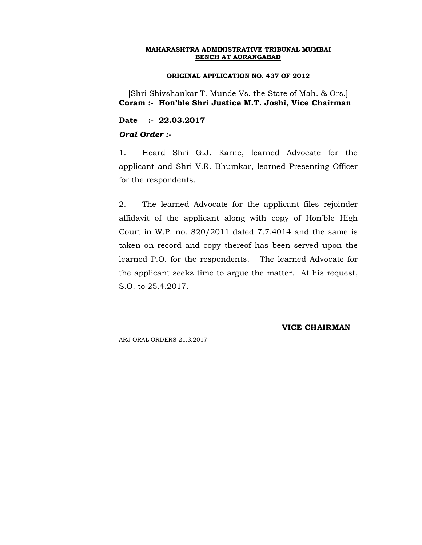#### **ORIGINAL APPLICATION NO. 437 OF 2012**

[Shri Shivshankar T. Munde Vs. the State of Mah. & Ors.] **Coram :- Hon'ble Shri Justice M.T. Joshi, Vice Chairman**

**Date :- 22.03.2017**

### *Oral Order :-*

1. Heard Shri G.J. Karne, learned Advocate for the applicant and Shri V.R. Bhumkar, learned Presenting Officer for the respondents.

2. The learned Advocate for the applicant files rejoinder affidavit of the applicant along with copy of Hon'ble High Court in W.P. no. 820/2011 dated 7.7.4014 and the same is taken on record and copy thereof has been served upon the learned P.O. for the respondents. The learned Advocate for the applicant seeks time to argue the matter. At his request, S.O. to 25.4.2017.

#### **VICE CHAIRMAN**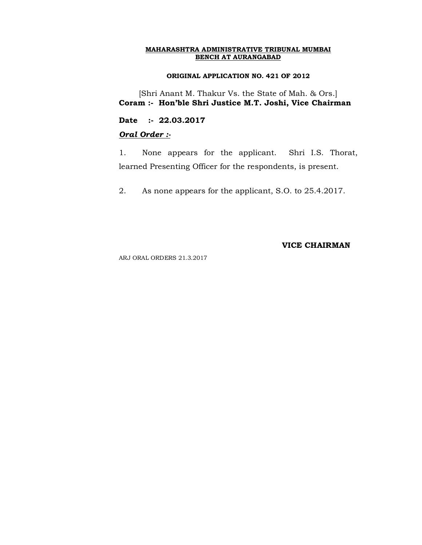#### **ORIGINAL APPLICATION NO. 421 OF 2012**

[Shri Anant M. Thakur Vs. the State of Mah. & Ors.] **Coram :- Hon'ble Shri Justice M.T. Joshi, Vice Chairman**

**Date :- 22.03.2017**

# *Oral Order :-*

1. None appears for the applicant. Shri I.S. Thorat, learned Presenting Officer for the respondents, is present.

2. As none appears for the applicant, S.O. to 25.4.2017.

**VICE CHAIRMAN**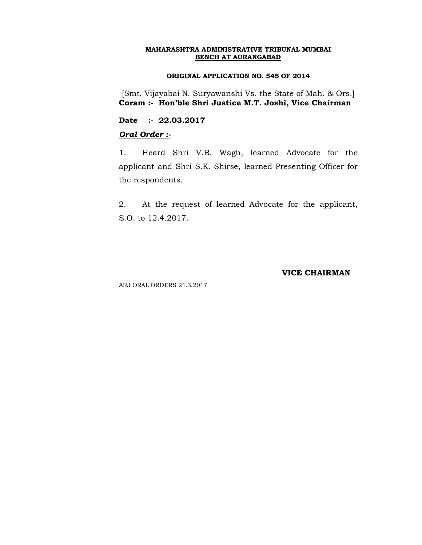#### **ORIGINAL APPLICATION NO. 545 OF 2014**

[Smt. Vijayabai N. Suryawanshi Vs. the State of Mah. & Ors.] **Coram :- Hon'ble Shri Justice M.T. Joshi, Vice Chairman**

**Date :- 22.03.2017**

# *Oral Order :-*

1. Heard Shri V.B. Wagh, learned Advocate for the applicant and Shri S.K. Shirse, learned Presenting Officer for the respondents.

2. At the request of learned Advocate for the applicant, S.O. to 12.4.2017.

## **VICE CHAIRMAN**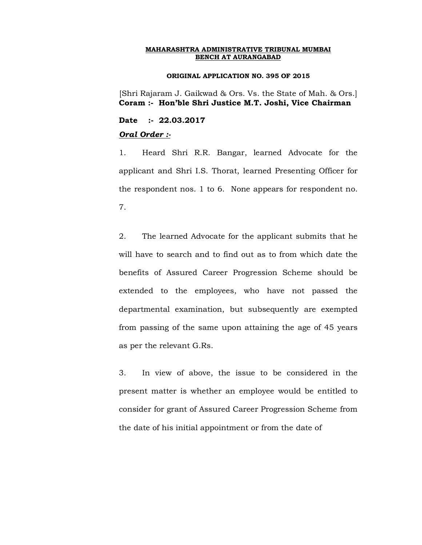#### **ORIGINAL APPLICATION NO. 395 OF 2015**

[Shri Rajaram J. Gaikwad & Ors. Vs. the State of Mah. & Ors.] **Coram :- Hon'ble Shri Justice M.T. Joshi, Vice Chairman**

**Date :- 22.03.2017**

#### *Oral Order :-*

1. Heard Shri R.R. Bangar, learned Advocate for the applicant and Shri I.S. Thorat, learned Presenting Officer for the respondent nos. 1 to 6. None appears for respondent no. 7.

2. The learned Advocate for the applicant submits that he will have to search and to find out as to from which date the benefits of Assured Career Progression Scheme should be extended to the employees, who have not passed the departmental examination, but subsequently are exempted from passing of the same upon attaining the age of 45 years as per the relevant G.Rs.

3. In view of above, the issue to be considered in the present matter is whether an employee would be entitled to consider for grant of Assured Career Progression Scheme from the date of his initial appointment or from the date of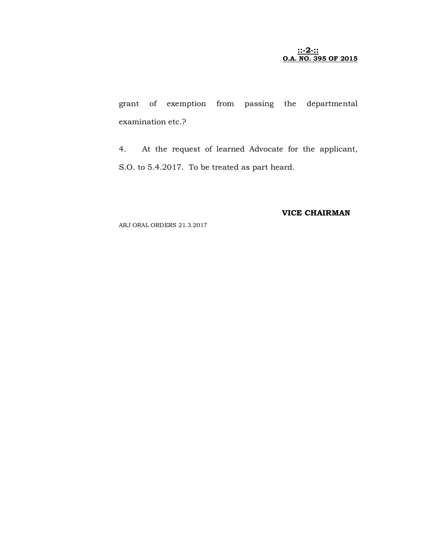#### **::-2-:: O.A. NO. 395 OF 2015**

grant of exemption from passing the departmental examination etc.?

4. At the request of learned Advocate for the applicant, S.O. to 5.4.2017. To be treated as part heard.

# **VICE CHAIRMAN**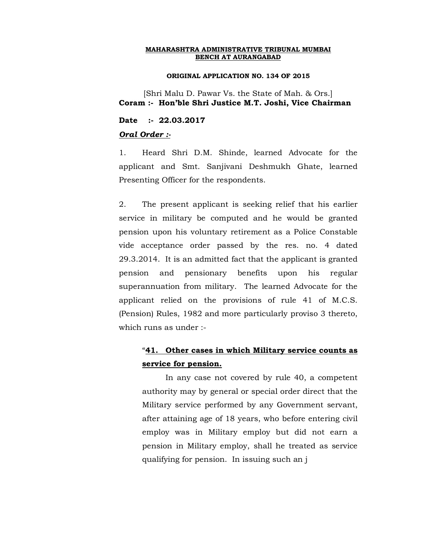#### **ORIGINAL APPLICATION NO. 134 OF 2015**

[Shri Malu D. Pawar Vs. the State of Mah. & Ors.] **Coram :- Hon'ble Shri Justice M.T. Joshi, Vice Chairman**

**Date :- 22.03.2017**

#### *Oral Order :-*

1. Heard Shri D.M. Shinde, learned Advocate for the applicant and Smt. Sanjivani Deshmukh Ghate, learned Presenting Officer for the respondents.

2. The present applicant is seeking relief that his earlier service in military be computed and he would be granted pension upon his voluntary retirement as a Police Constable vide acceptance order passed by the res. no. 4 dated 29.3.2014. It is an admitted fact that the applicant is granted pension and pensionary benefits upon his regular superannuation from military. The learned Advocate for the applicant relied on the provisions of rule 41 of M.C.S. (Pension) Rules, 1982 and more particularly proviso 3 thereto, which runs as under :-

# "**41. Other cases in which Military service counts as service for pension.**

In any case not covered by rule 40, a competent authority may by general or special order direct that the Military service performed by any Government servant, after attaining age of 18 years, who before entering civil employ was in Military employ but did not earn a pension in Military employ, shall he treated as service qualifying for pension. In issuing such an j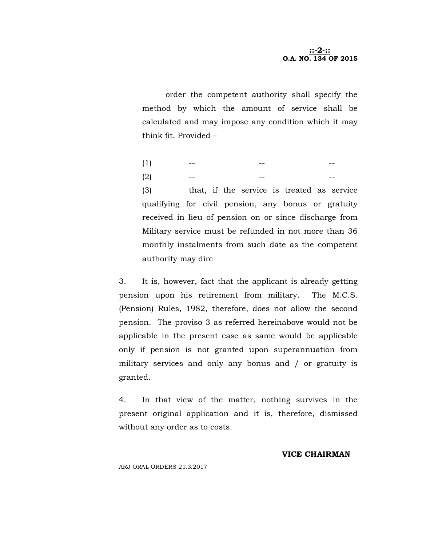order the competent authority shall specify the method by which the amount of service shall be calculated and may impose any condition which it may think fit. Provided –

(1) -- -- -- -- --(2) -- -- --

(3) that, if the service is treated as service qualifying for civil pension, any bonus or gratuity received in lieu of pension on or since discharge from Military service must be refunded in not more than 36 monthly instalments from such date as the competent authority may dire

3. It is, however, fact that the applicant is already getting pension upon his retirement from military. The M.C.S. (Pension) Rules, 1982, therefore, does not allow the second pension. The proviso 3 as referred hereinabove would not be applicable in the present case as same would be applicable only if pension is not granted upon superannuation from military services and only any bonus and / or gratuity is granted.

4. In that view of the matter, nothing survives in the present original application and it is, therefore, dismissed without any order as to costs.

#### **VICE CHAIRMAN**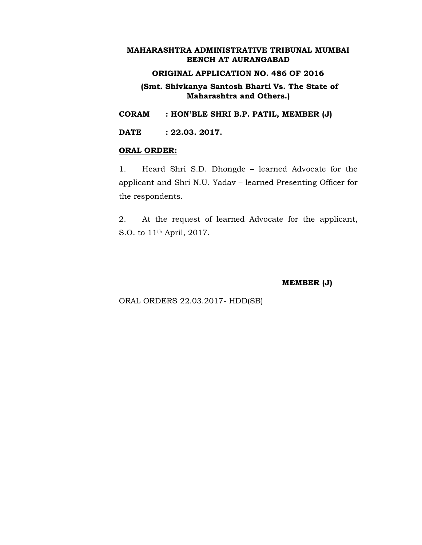# **ORIGINAL APPLICATION NO. 486 OF 2016**

**(Smt. Shivkanya Santosh Bharti Vs. The State of Maharashtra and Others.)**

**CORAM : HON'BLE SHRI B.P. PATIL, MEMBER (J)**

**DATE : 22.03. 2017.**

#### **ORAL ORDER:**

1. Heard Shri S.D. Dhongde – learned Advocate for the applicant and Shri N.U. Yadav – learned Presenting Officer for the respondents.

2. At the request of learned Advocate for the applicant, S.O. to 11th April, 2017.

**MEMBER (J)**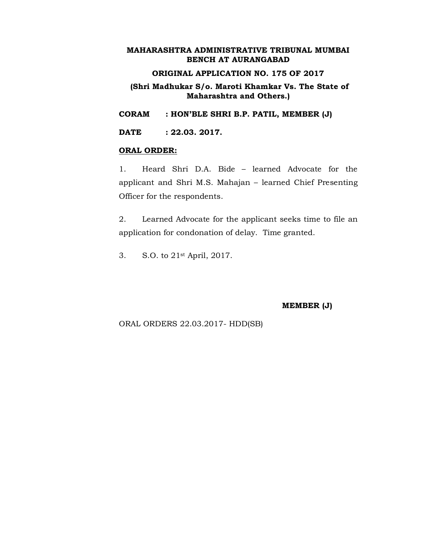# **ORIGINAL APPLICATION NO. 175 OF 2017**

# **(Shri Madhukar S/o. Maroti Khamkar Vs. The State of Maharashtra and Others.)**

**CORAM : HON'BLE SHRI B.P. PATIL, MEMBER (J)**

**DATE : 22.03. 2017.**

#### **ORAL ORDER:**

1. Heard Shri D.A. Bide – learned Advocate for the applicant and Shri M.S. Mahajan – learned Chief Presenting Officer for the respondents.

2. Learned Advocate for the applicant seeks time to file an application for condonation of delay. Time granted.

3. S.O. to 21st April, 2017.

**MEMBER (J)**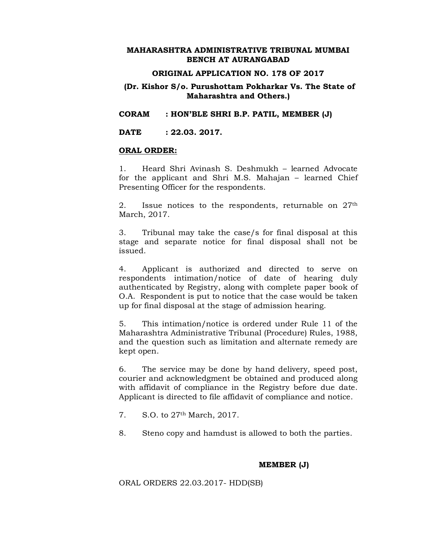### **ORIGINAL APPLICATION NO. 178 OF 2017**

# **(Dr. Kishor S/o. Purushottam Pokharkar Vs. The State of Maharashtra and Others.)**

**CORAM : HON'BLE SHRI B.P. PATIL, MEMBER (J)**

**DATE : 22.03. 2017.**

#### **ORAL ORDER:**

1. Heard Shri Avinash S. Deshmukh – learned Advocate for the applicant and Shri M.S. Mahajan – learned Chief Presenting Officer for the respondents.

2. Issue notices to the respondents, returnable on 27<sup>th</sup> March, 2017.

3. Tribunal may take the case/s for final disposal at this stage and separate notice for final disposal shall not be issued.

4. Applicant is authorized and directed to serve on respondents intimation/notice of date of hearing duly authenticated by Registry, along with complete paper book of O.A. Respondent is put to notice that the case would be taken up for final disposal at the stage of admission hearing.

5. This intimation/notice is ordered under Rule 11 of the Maharashtra Administrative Tribunal (Procedure) Rules, 1988, and the question such as limitation and alternate remedy are kept open.

6. The service may be done by hand delivery, speed post, courier and acknowledgment be obtained and produced along with affidavit of compliance in the Registry before due date. Applicant is directed to file affidavit of compliance and notice.

- 7. S.O. to 27th March, 2017.
- 8. Steno copy and hamdust is allowed to both the parties.

#### **MEMBER (J)**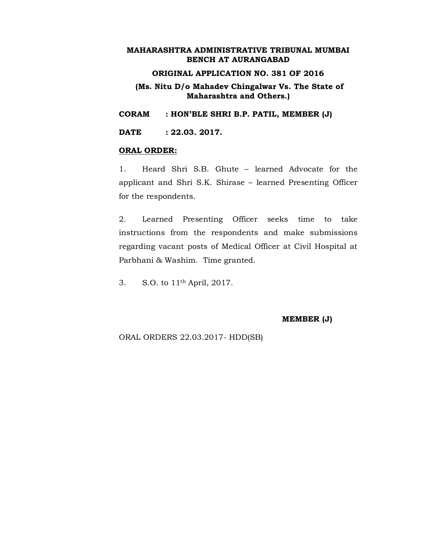# **ORIGINAL APPLICATION NO. 381 OF 2016**

# **(Ms. Nitu D/o Mahadev Chingalwar Vs. The State of Maharashtra and Others.)**

**CORAM : HON'BLE SHRI B.P. PATIL, MEMBER (J)**

**DATE : 22.03. 2017.**

#### **ORAL ORDER:**

1. Heard Shri S.B. Ghute – learned Advocate for the applicant and Shri S.K. Shirase – learned Presenting Officer for the respondents.

2. Learned Presenting Officer seeks time to take instructions from the respondents and make submissions regarding vacant posts of Medical Officer at Civil Hospital at Parbhani & Washim. Time granted.

3. S.O. to 11th April, 2017.

**MEMBER (J)**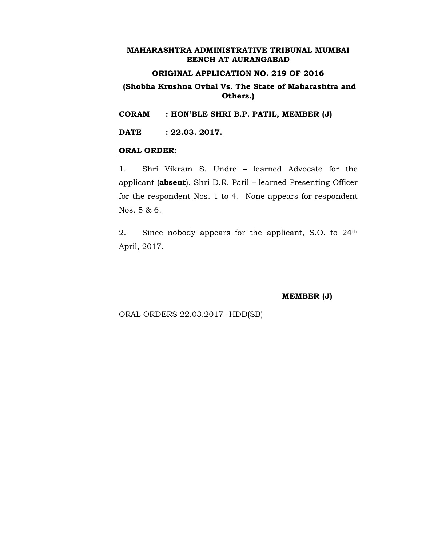# **ORIGINAL APPLICATION NO. 219 OF 2016**

# **(Shobha Krushna Ovhal Vs. The State of Maharashtra and Others.)**

**CORAM : HON'BLE SHRI B.P. PATIL, MEMBER (J)**

**DATE : 22.03. 2017.**

#### **ORAL ORDER:**

1. Shri Vikram S. Undre – learned Advocate for the applicant (**absent**). Shri D.R. Patil – learned Presenting Officer for the respondent Nos. 1 to 4. None appears for respondent Nos. 5 & 6.

2. Since nobody appears for the applicant, S.O. to 24th April, 2017.

**MEMBER (J)**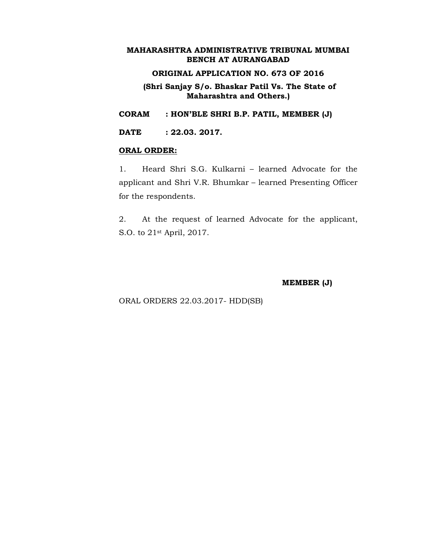# **ORIGINAL APPLICATION NO. 673 OF 2016**

**(Shri Sanjay S/o. Bhaskar Patil Vs. The State of Maharashtra and Others.)**

**CORAM : HON'BLE SHRI B.P. PATIL, MEMBER (J)**

**DATE : 22.03. 2017.**

#### **ORAL ORDER:**

1. Heard Shri S.G. Kulkarni – learned Advocate for the applicant and Shri V.R. Bhumkar – learned Presenting Officer for the respondents.

2. At the request of learned Advocate for the applicant, S.O. to 21st April, 2017.

**MEMBER (J)**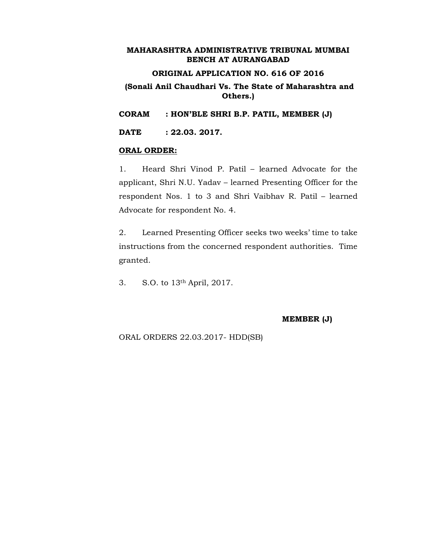# **ORIGINAL APPLICATION NO. 616 OF 2016**

# **(Sonali Anil Chaudhari Vs. The State of Maharashtra and Others.)**

**CORAM : HON'BLE SHRI B.P. PATIL, MEMBER (J)**

**DATE : 22.03. 2017.**

#### **ORAL ORDER:**

1. Heard Shri Vinod P. Patil – learned Advocate for the applicant, Shri N.U. Yadav – learned Presenting Officer for the respondent Nos. 1 to 3 and Shri Vaibhav R. Patil – learned Advocate for respondent No. 4.

2. Learned Presenting Officer seeks two weeks' time to take instructions from the concerned respondent authorities. Time granted.

3. S.O. to 13th April, 2017.

**MEMBER (J)**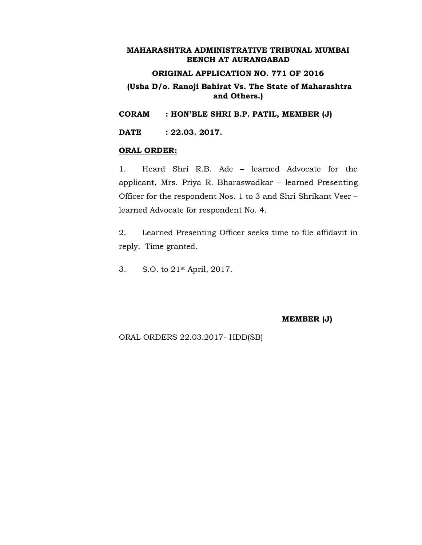# **ORIGINAL APPLICATION NO. 771 OF 2016**

# **(Usha D/o. Ranoji Bahirat Vs. The State of Maharashtra and Others.)**

**CORAM : HON'BLE SHRI B.P. PATIL, MEMBER (J)**

**DATE : 22.03. 2017.**

#### **ORAL ORDER:**

1. Heard Shri R.B. Ade – learned Advocate for the applicant, Mrs. Priya R. Bharaswadkar – learned Presenting Officer for the respondent Nos. 1 to 3 and Shri Shrikant Veer – learned Advocate for respondent No. 4.

2. Learned Presenting Officer seeks time to file affidavit in reply. Time granted.

3. S.O. to 21st April, 2017.

**MEMBER (J)**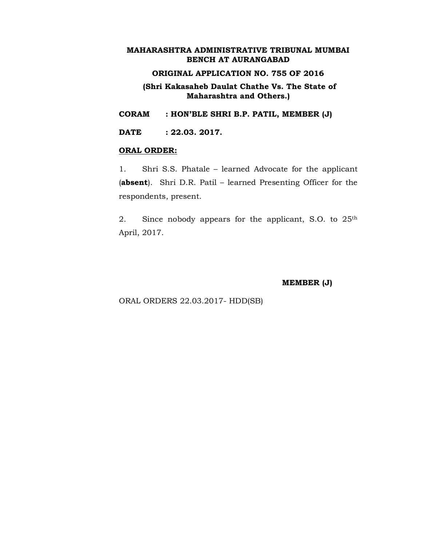## **ORIGINAL APPLICATION NO. 755 OF 2016**

**(Shri Kakasaheb Daulat Chathe Vs. The State of Maharashtra and Others.)**

**CORAM : HON'BLE SHRI B.P. PATIL, MEMBER (J)**

**DATE : 22.03. 2017.**

#### **ORAL ORDER:**

1. Shri S.S. Phatale – learned Advocate for the applicant (**absent**). Shri D.R. Patil – learned Presenting Officer for the respondents, present.

2. Since nobody appears for the applicant, S.O. to 25th April, 2017.

**MEMBER (J)**

ORAL ORDERS 22.03.2017- HDD(SB)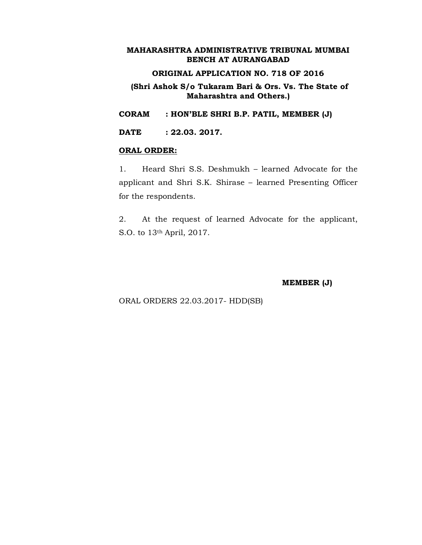## **ORIGINAL APPLICATION NO. 718 OF 2016**

#### **(Shri Ashok S/o Tukaram Bari & Ors. Vs. The State of Maharashtra and Others.)**

**CORAM : HON'BLE SHRI B.P. PATIL, MEMBER (J)**

**DATE : 22.03. 2017.**

#### **ORAL ORDER:**

1. Heard Shri S.S. Deshmukh – learned Advocate for the applicant and Shri S.K. Shirase – learned Presenting Officer for the respondents.

2. At the request of learned Advocate for the applicant, S.O. to 13th April, 2017.

#### **MEMBER (J)**

ORAL ORDERS 22.03.2017- HDD(SB)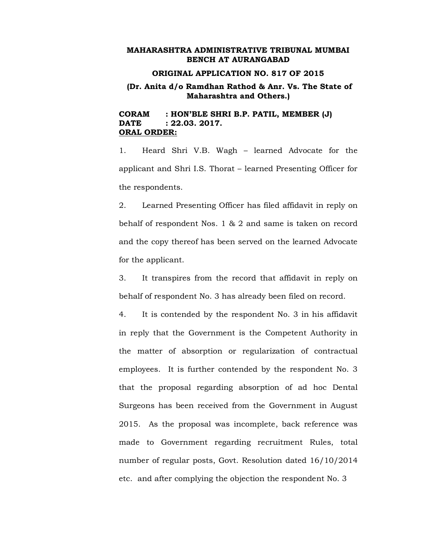#### **ORIGINAL APPLICATION NO. 817 OF 2015**

## **(Dr. Anita d/o Ramdhan Rathod & Anr. Vs. The State of Maharashtra and Others.)**

#### **CORAM : HON'BLE SHRI B.P. PATIL, MEMBER (J) DATE : 22.03. 2017. ORAL ORDER:**

1. Heard Shri V.B. Wagh – learned Advocate for the applicant and Shri I.S. Thorat – learned Presenting Officer for the respondents.

2. Learned Presenting Officer has filed affidavit in reply on behalf of respondent Nos. 1 & 2 and same is taken on record and the copy thereof has been served on the learned Advocate for the applicant.

3. It transpires from the record that affidavit in reply on behalf of respondent No. 3 has already been filed on record.

4. It is contended by the respondent No. 3 in his affidavit in reply that the Government is the Competent Authority in the matter of absorption or regularization of contractual employees. It is further contended by the respondent No. 3 that the proposal regarding absorption of ad hoc Dental Surgeons has been received from the Government in August 2015. As the proposal was incomplete, back reference was made to Government regarding recruitment Rules, total number of regular posts, Govt. Resolution dated 16/10/2014 etc. and after complying the objection the respondent No. 3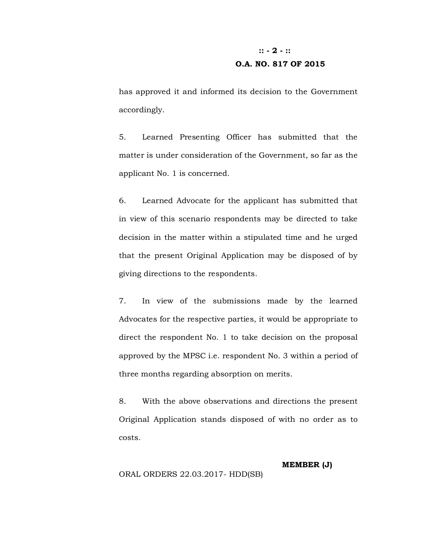# **:: - 2 - :: O.A. NO. 817 OF 2015**

has approved it and informed its decision to the Government accordingly.

5. Learned Presenting Officer has submitted that the matter is under consideration of the Government, so far as the applicant No. 1 is concerned.

6. Learned Advocate for the applicant has submitted that in view of this scenario respondents may be directed to take decision in the matter within a stipulated time and he urged that the present Original Application may be disposed of by giving directions to the respondents.

7. In view of the submissions made by the learned Advocates for the respective parties, it would be appropriate to direct the respondent No. 1 to take decision on the proposal approved by the MPSC i.e. respondent No. 3 within a period of three months regarding absorption on merits.

8. With the above observations and directions the present Original Application stands disposed of with no order as to costs.

**MEMBER (J)**

ORAL ORDERS 22.03.2017- HDD(SB)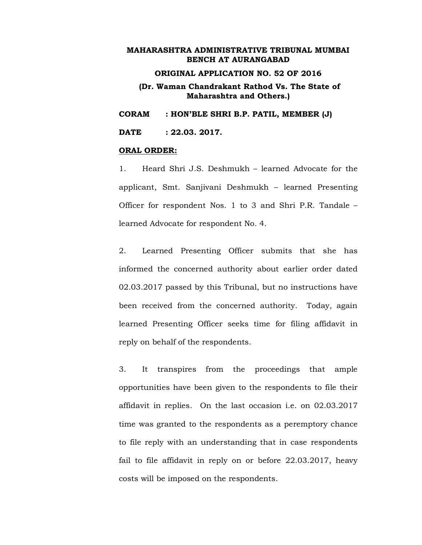#### **ORIGINAL APPLICATION NO. 52 OF 2016**

#### **(Dr. Waman Chandrakant Rathod Vs. The State of Maharashtra and Others.)**

**CORAM : HON'BLE SHRI B.P. PATIL, MEMBER (J)**

**DATE : 22.03. 2017.**

#### **ORAL ORDER:**

1. Heard Shri J.S. Deshmukh – learned Advocate for the applicant, Smt. Sanjivani Deshmukh – learned Presenting Officer for respondent Nos. 1 to 3 and Shri P.R. Tandale – learned Advocate for respondent No. 4.

2. Learned Presenting Officer submits that she has informed the concerned authority about earlier order dated 02.03.2017 passed by this Tribunal, but no instructions have been received from the concerned authority. Today, again learned Presenting Officer seeks time for filing affidavit in reply on behalf of the respondents.

3. It transpires from the proceedings that ample opportunities have been given to the respondents to file their affidavit in replies. On the last occasion i.e. on 02.03.2017 time was granted to the respondents as a peremptory chance to file reply with an understanding that in case respondents fail to file affidavit in reply on or before 22.03.2017, heavy costs will be imposed on the respondents.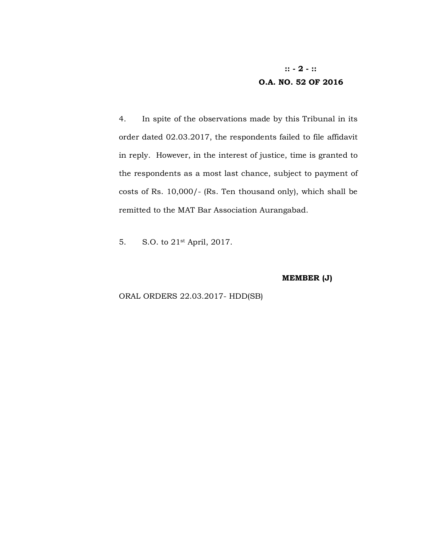# **:: - 2 - :: O.A. NO. 52 OF 2016**

4. In spite of the observations made by this Tribunal in its order dated 02.03.2017, the respondents failed to file affidavit in reply. However, in the interest of justice, time is granted to the respondents as a most last chance, subject to payment of costs of Rs. 10,000/- (Rs. Ten thousand only), which shall be remitted to the MAT Bar Association Aurangabad.

5. S.O. to 21st April, 2017.

**MEMBER (J)**

#### ORAL ORDERS 22.03.2017- HDD(SB)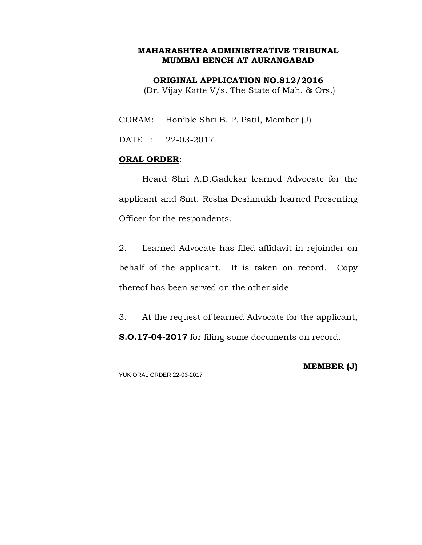**ORIGINAL APPLICATION NO.812/2016**

(Dr. Vijay Katte V/s. The State of Mah. & Ors.)

CORAM: Hon'ble Shri B. P. Patil, Member (J)

DATE : 22-03-2017

## **ORAL ORDER**:-

Heard Shri A.D.Gadekar learned Advocate for the applicant and Smt. Resha Deshmukh learned Presenting Officer for the respondents.

2. Learned Advocate has filed affidavit in rejoinder on behalf of the applicant. It is taken on record. Copy thereof has been served on the other side.

3. At the request of learned Advocate for the applicant, **S.O.17-04-2017** for filing some documents on record.

YUK ORAL ORDER 22-03-2017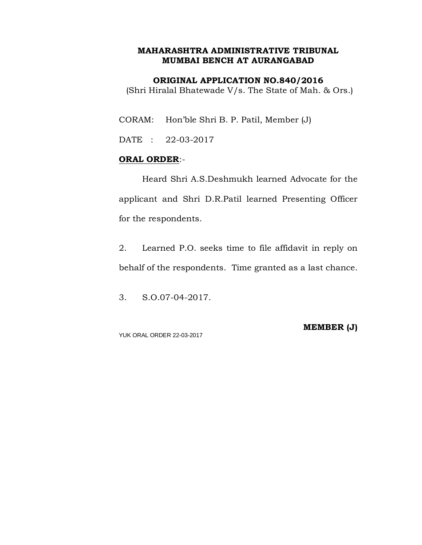#### **ORIGINAL APPLICATION NO.840/2016**

(Shri Hiralal Bhatewade V/s. The State of Mah. & Ors.)

CORAM: Hon'ble Shri B. P. Patil, Member (J)

DATE : 22-03-2017

## **ORAL ORDER**:-

Heard Shri A.S.Deshmukh learned Advocate for the applicant and Shri D.R.Patil learned Presenting Officer for the respondents.

2. Learned P.O. seeks time to file affidavit in reply on behalf of the respondents. Time granted as a last chance.

3. S.O.07-04-2017.

YUK ORAL ORDER 22-03-2017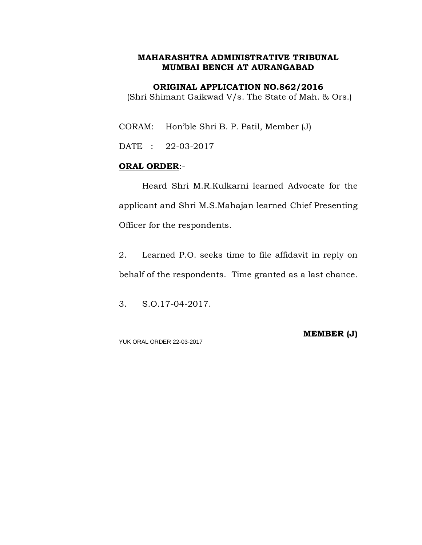**ORIGINAL APPLICATION NO.862/2016**

(Shri Shimant Gaikwad V/s. The State of Mah. & Ors.)

CORAM: Hon'ble Shri B. P. Patil, Member (J)

DATE : 22-03-2017

## **ORAL ORDER**:-

Heard Shri M.R.Kulkarni learned Advocate for the applicant and Shri M.S.Mahajan learned Chief Presenting Officer for the respondents.

2. Learned P.O. seeks time to file affidavit in reply on behalf of the respondents. Time granted as a last chance.

3. S.O.17-04-2017.

YUK ORAL ORDER 22-03-2017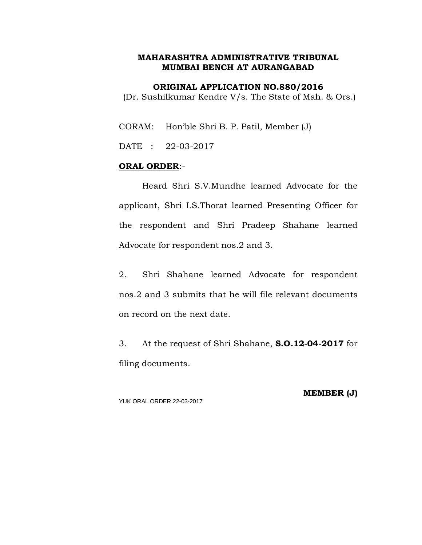**ORIGINAL APPLICATION NO.880/2016**

(Dr. Sushilkumar Kendre V/s. The State of Mah. & Ors.)

CORAM: Hon'ble Shri B. P. Patil, Member (J)

DATE : 22-03-2017

## **ORAL ORDER**:-

Heard Shri S.V.Mundhe learned Advocate for the applicant, Shri I.S.Thorat learned Presenting Officer for the respondent and Shri Pradeep Shahane learned Advocate for respondent nos.2 and 3.

2. Shri Shahane learned Advocate for respondent nos.2 and 3 submits that he will file relevant documents on record on the next date.

3. At the request of Shri Shahane, **S.O.12-04-2017** for filing documents.

YUK ORAL ORDER 22-03-2017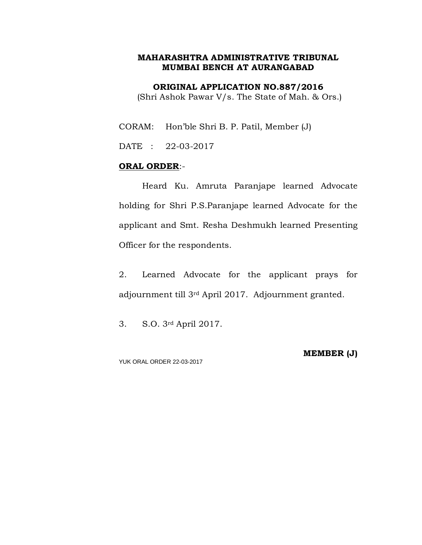**ORIGINAL APPLICATION NO.887/2016**

(Shri Ashok Pawar V/s. The State of Mah. & Ors.)

CORAM: Hon'ble Shri B. P. Patil, Member (J)

DATE : 22-03-2017

## **ORAL ORDER**:-

Heard Ku. Amruta Paranjape learned Advocate holding for Shri P.S.Paranjape learned Advocate for the applicant and Smt. Resha Deshmukh learned Presenting Officer for the respondents.

2. Learned Advocate for the applicant prays for adjournment till 3rd April 2017. Adjournment granted.

3. S.O. 3rd April 2017.

YUK ORAL ORDER 22-03-2017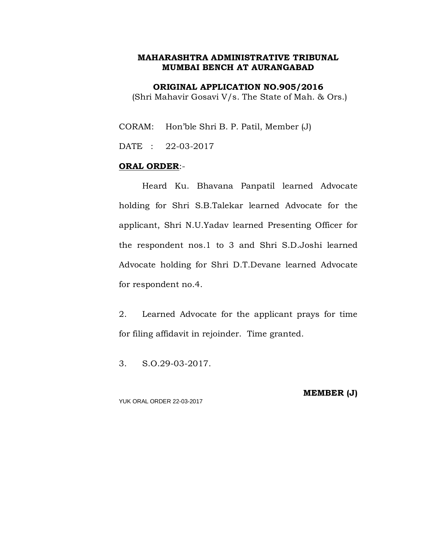**ORIGINAL APPLICATION NO.905/2016** (Shri Mahavir Gosavi V/s. The State of Mah. & Ors.)

CORAM: Hon'ble Shri B. P. Patil, Member (J)

DATE : 22-03-2017

#### **ORAL ORDER**:-

Heard Ku. Bhavana Panpatil learned Advocate holding for Shri S.B.Talekar learned Advocate for the applicant, Shri N.U.Yadav learned Presenting Officer for the respondent nos.1 to 3 and Shri S.D.Joshi learned Advocate holding for Shri D.T.Devane learned Advocate for respondent no.4.

2. Learned Advocate for the applicant prays for time for filing affidavit in rejoinder. Time granted.

3. S.O.29-03-2017.

YUK ORAL ORDER 22-03-2017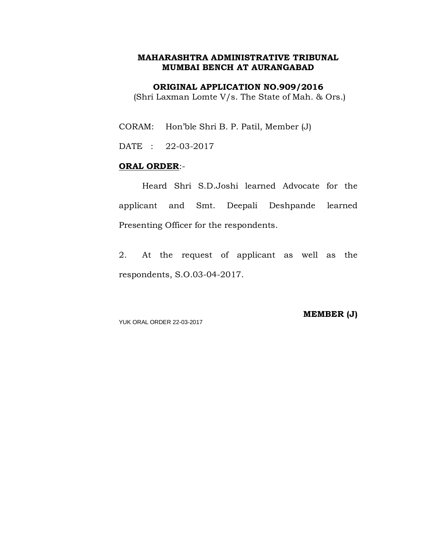**ORIGINAL APPLICATION NO.909/2016**

(Shri Laxman Lomte V/s. The State of Mah. & Ors.)

CORAM: Hon'ble Shri B. P. Patil, Member (J)

DATE : 22-03-2017

#### **ORAL ORDER**:-

Heard Shri S.D.Joshi learned Advocate for the applicant and Smt. Deepali Deshpande learned Presenting Officer for the respondents.

2. At the request of applicant as well as the respondents, S.O.03-04-2017.

YUK ORAL ORDER 22-03-2017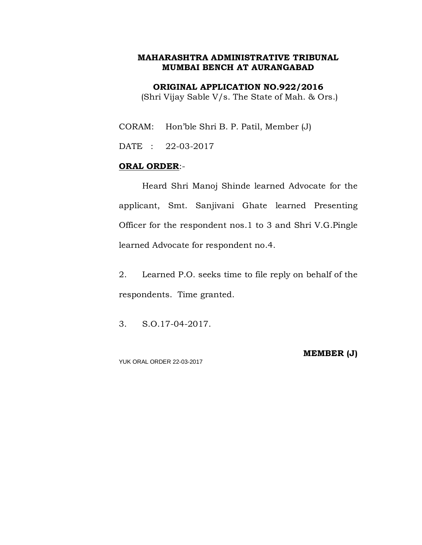**ORIGINAL APPLICATION NO.922/2016**

(Shri Vijay Sable V/s. The State of Mah. & Ors.)

CORAM: Hon'ble Shri B. P. Patil, Member (J)

DATE : 22-03-2017

## **ORAL ORDER**:-

Heard Shri Manoj Shinde learned Advocate for the applicant, Smt. Sanjivani Ghate learned Presenting Officer for the respondent nos.1 to 3 and Shri V.G.Pingle learned Advocate for respondent no.4.

2. Learned P.O. seeks time to file reply on behalf of the respondents. Time granted.

3. S.O.17-04-2017.

YUK ORAL ORDER 22-03-2017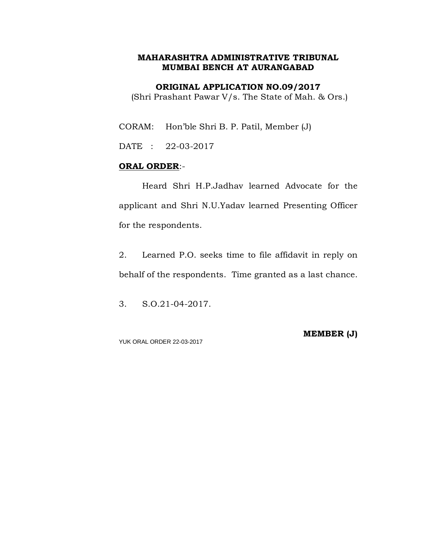**ORIGINAL APPLICATION NO.09/2017**

(Shri Prashant Pawar V/s. The State of Mah. & Ors.)

CORAM: Hon'ble Shri B. P. Patil, Member (J)

DATE : 22-03-2017

## **ORAL ORDER**:-

Heard Shri H.P.Jadhav learned Advocate for the applicant and Shri N.U.Yadav learned Presenting Officer for the respondents.

2. Learned P.O. seeks time to file affidavit in reply on behalf of the respondents. Time granted as a last chance.

3. S.O.21-04-2017.

YUK ORAL ORDER 22-03-2017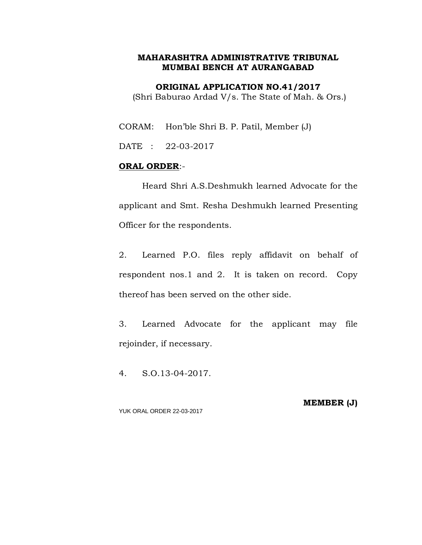**ORIGINAL APPLICATION NO.41/2017**

(Shri Baburao Ardad V/s. The State of Mah. & Ors.)

CORAM: Hon'ble Shri B. P. Patil, Member (J)

DATE : 22-03-2017

## **ORAL ORDER**:-

Heard Shri A.S.Deshmukh learned Advocate for the applicant and Smt. Resha Deshmukh learned Presenting Officer for the respondents.

2. Learned P.O. files reply affidavit on behalf of respondent nos.1 and 2. It is taken on record. Copy thereof has been served on the other side.

3. Learned Advocate for the applicant may file rejoinder, if necessary.

4. S.O.13-04-2017.

YUK ORAL ORDER 22-03-2017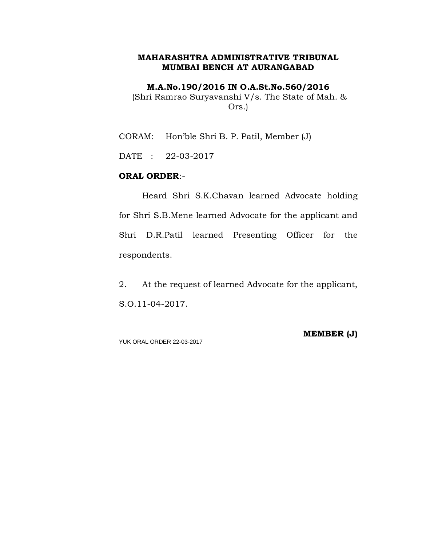**M.A.No.190/2016 IN O.A.St.No.560/2016**

(Shri Ramrao Suryavanshi V/s. The State of Mah. & Ors.)

CORAM: Hon'ble Shri B. P. Patil, Member (J)

DATE : 22-03-2017

#### **ORAL ORDER**:-

Heard Shri S.K.Chavan learned Advocate holding for Shri S.B.Mene learned Advocate for the applicant and Shri D.R.Patil learned Presenting Officer for the respondents.

2. At the request of learned Advocate for the applicant, S.O.11-04-2017.

YUK ORAL ORDER 22-03-2017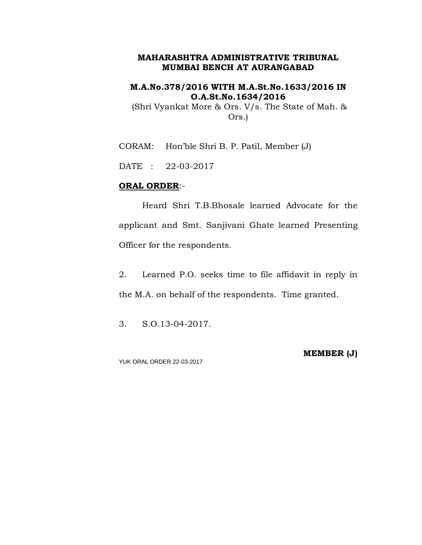## **M.A.No.378/2016 WITH M.A.St.No.1633/2016 IN O.A.St.No.1634/2016**

(Shri Vyankat More & Ors. V/s. The State of Mah. & Ors.)

CORAM: Hon'ble Shri B. P. Patil, Member (J)

DATE : 22-03-2017

## **ORAL ORDER**:-

Heard Shri T.B.Bhosale learned Advocate for the applicant and Smt. Sanjivani Ghate learned Presenting Officer for the respondents.

2. Learned P.O. seeks time to file affidavit in reply in the M.A. on behalf of the respondents. Time granted.

3. S.O.13-04-2017.

YUK ORAL ORDER 22-03-2017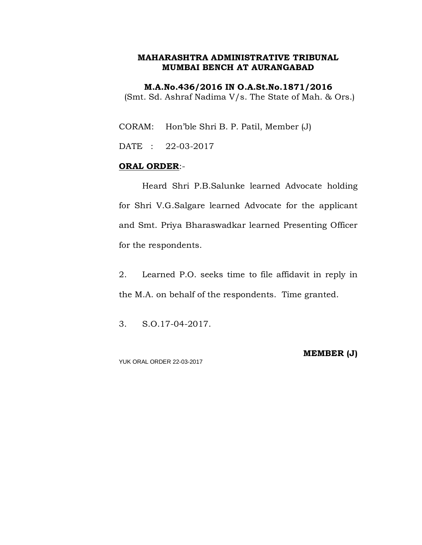**M.A.No.436/2016 IN O.A.St.No.1871/2016** (Smt. Sd. Ashraf Nadima V/s. The State of Mah. & Ors.)

CORAM: Hon'ble Shri B. P. Patil, Member (J)

DATE : 22-03-2017

#### **ORAL ORDER**:-

Heard Shri P.B.Salunke learned Advocate holding for Shri V.G.Salgare learned Advocate for the applicant and Smt. Priya Bharaswadkar learned Presenting Officer for the respondents.

2. Learned P.O. seeks time to file affidavit in reply in the M.A. on behalf of the respondents. Time granted.

3. S.O.17-04-2017.

YUK ORAL ORDER 22-03-2017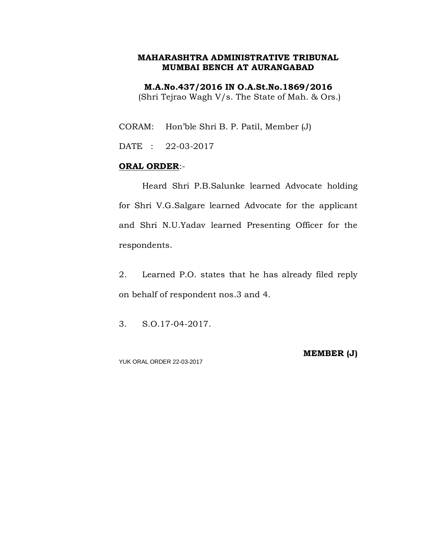**M.A.No.437/2016 IN O.A.St.No.1869/2016** (Shri Tejrao Wagh V/s. The State of Mah. & Ors.)

CORAM: Hon'ble Shri B. P. Patil, Member (J)

DATE : 22-03-2017

## **ORAL ORDER**:-

Heard Shri P.B.Salunke learned Advocate holding for Shri V.G.Salgare learned Advocate for the applicant and Shri N.U.Yadav learned Presenting Officer for the respondents.

2. Learned P.O. states that he has already filed reply on behalf of respondent nos.3 and 4.

3. S.O.17-04-2017.

YUK ORAL ORDER 22-03-2017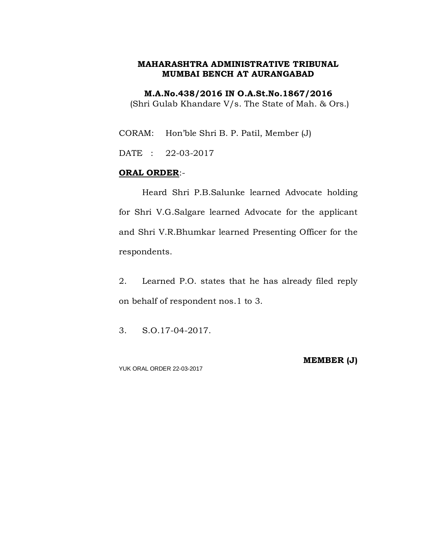**M.A.No.438/2016 IN O.A.St.No.1867/2016**

(Shri Gulab Khandare V/s. The State of Mah. & Ors.)

CORAM: Hon'ble Shri B. P. Patil, Member (J)

DATE : 22-03-2017

## **ORAL ORDER**:-

Heard Shri P.B.Salunke learned Advocate holding for Shri V.G.Salgare learned Advocate for the applicant and Shri V.R.Bhumkar learned Presenting Officer for the respondents.

2. Learned P.O. states that he has already filed reply on behalf of respondent nos.1 to 3.

3. S.O.17-04-2017.

YUK ORAL ORDER 22-03-2017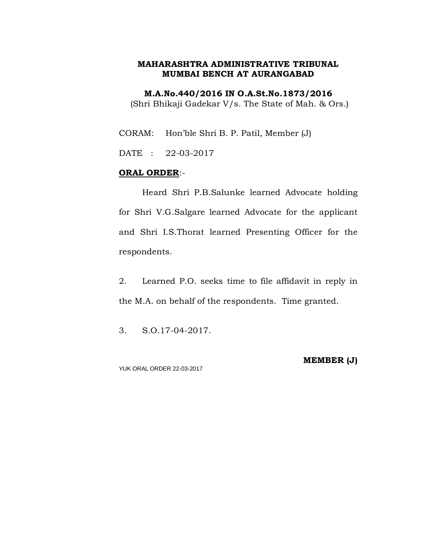**M.A.No.440/2016 IN O.A.St.No.1873/2016** (Shri Bhikaji Gadekar V/s. The State of Mah. & Ors.)

CORAM: Hon'ble Shri B. P. Patil, Member (J)

DATE : 22-03-2017

#### **ORAL ORDER**:-

Heard Shri P.B.Salunke learned Advocate holding for Shri V.G.Salgare learned Advocate for the applicant and Shri I.S.Thorat learned Presenting Officer for the respondents.

2. Learned P.O. seeks time to file affidavit in reply in the M.A. on behalf of the respondents. Time granted.

3. S.O.17-04-2017.

YUK ORAL ORDER 22-03-2017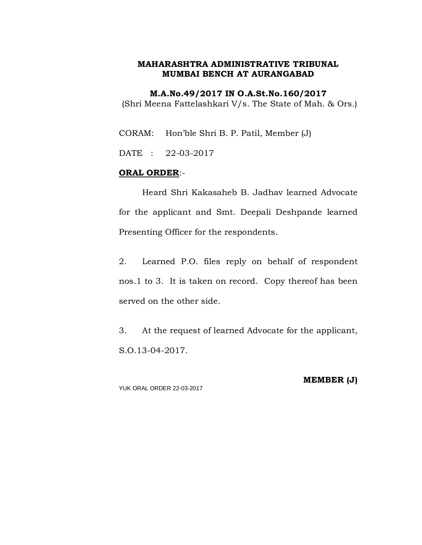**M.A.No.49/2017 IN O.A.St.No.160/2017** (Shri Meena Fattelashkari V/s. The State of Mah. & Ors.)

CORAM: Hon'ble Shri B. P. Patil, Member (J)

DATE : 22-03-2017

#### **ORAL ORDER**:-

Heard Shri Kakasaheb B. Jadhav learned Advocate for the applicant and Smt. Deepali Deshpande learned Presenting Officer for the respondents.

2. Learned P.O. files reply on behalf of respondent nos.1 to 3. It is taken on record. Copy thereof has been served on the other side.

3. At the request of learned Advocate for the applicant, S.O.13-04-2017.

YUK ORAL ORDER 22-03-2017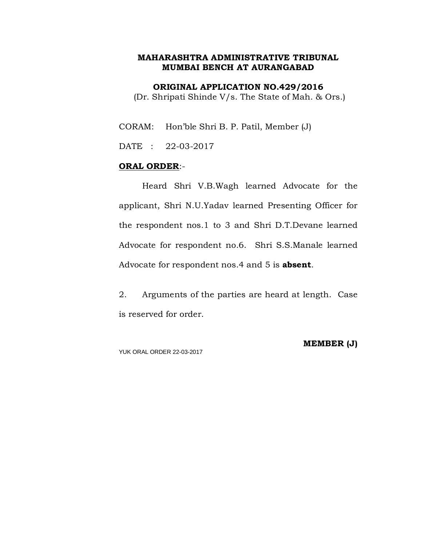**ORIGINAL APPLICATION NO.429/2016**

(Dr. Shripati Shinde V/s. The State of Mah. & Ors.)

CORAM: Hon'ble Shri B. P. Patil, Member (J)

DATE : 22-03-2017

## **ORAL ORDER**:-

Heard Shri V.B.Wagh learned Advocate for the applicant, Shri N.U.Yadav learned Presenting Officer for the respondent nos.1 to 3 and Shri D.T.Devane learned Advocate for respondent no.6. Shri S.S.Manale learned Advocate for respondent nos.4 and 5 is **absent**.

2. Arguments of the parties are heard at length. Case is reserved for order.

YUK ORAL ORDER 22-03-2017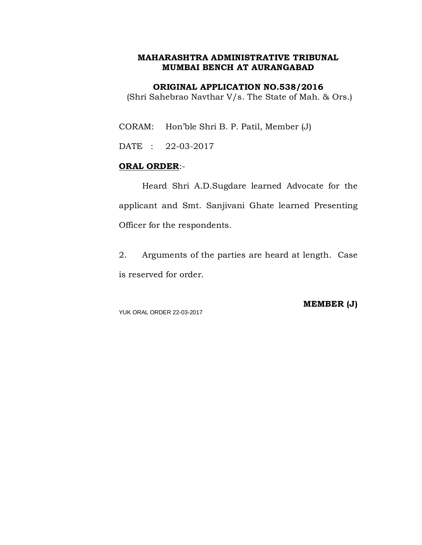#### **ORIGINAL APPLICATION NO.538/2016**

(Shri Sahebrao Navthar V/s. The State of Mah. & Ors.)

CORAM: Hon'ble Shri B. P. Patil, Member (J)

DATE : 22-03-2017

## **ORAL ORDER**:-

Heard Shri A.D.Sugdare learned Advocate for the applicant and Smt. Sanjivani Ghate learned Presenting Officer for the respondents.

2. Arguments of the parties are heard at length. Case is reserved for order.

YUK ORAL ORDER 22-03-2017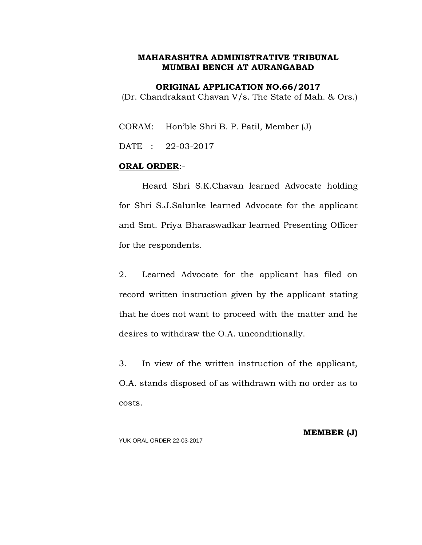**ORIGINAL APPLICATION NO.66/2017**

(Dr. Chandrakant Chavan V/s. The State of Mah. & Ors.)

CORAM: Hon'ble Shri B. P. Patil, Member (J)

DATE : 22-03-2017

## **ORAL ORDER**:-

Heard Shri S.K.Chavan learned Advocate holding for Shri S.J.Salunke learned Advocate for the applicant and Smt. Priya Bharaswadkar learned Presenting Officer for the respondents.

2. Learned Advocate for the applicant has filed on record written instruction given by the applicant stating that he does not want to proceed with the matter and he desires to withdraw the O.A. unconditionally.

3. In view of the written instruction of the applicant, O.A. stands disposed of as withdrawn with no order as to costs.

YUK ORAL ORDER 22-03-2017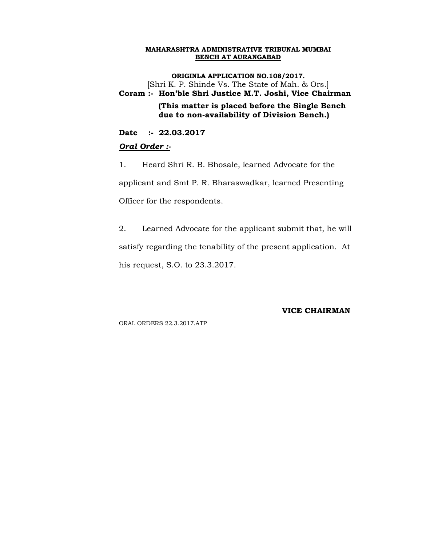**ORIGINLA APPLICATION NO.108/2017.** [Shri K. P. Shinde Vs. The State of Mah. & Ors.] **Coram :- Hon'ble Shri Justice M.T. Joshi, Vice Chairman (This matter is placed before the Single Bench due to non-availability of Division Bench.)**

**Date :- 22.03.2017**

#### *Oral Order :-*

1. Heard Shri R. B. Bhosale, learned Advocate for the applicant and Smt P. R. Bharaswadkar, learned Presenting Officer for the respondents.

2. Learned Advocate for the applicant submit that, he will satisfy regarding the tenability of the present application. At his request, S.O. to 23.3.2017.

**VICE CHAIRMAN**

ORAL ORDERS 22.3.2017.ATP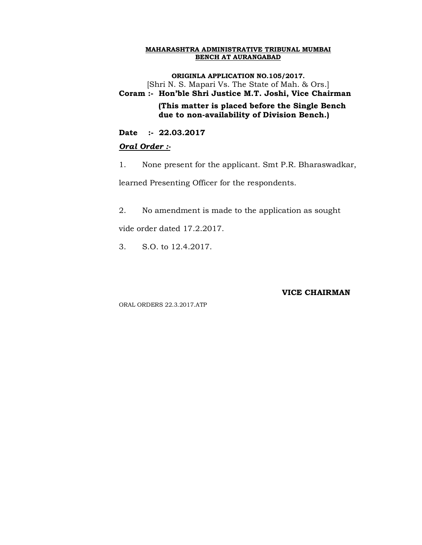**ORIGINLA APPLICATION NO.105/2017.** [Shri N. S. Mapari Vs. The State of Mah. & Ors.] **Coram :- Hon'ble Shri Justice M.T. Joshi, Vice Chairman (This matter is placed before the Single Bench due to non-availability of Division Bench.)**

**Date :- 22.03.2017**

#### *Oral Order :-*

1. None present for the applicant. Smt P.R. Bharaswadkar,

learned Presenting Officer for the respondents.

2. No amendment is made to the application as sought

vide order dated 17.2.2017.

3. S.O. to 12.4.2017.

#### **VICE CHAIRMAN**

ORAL ORDERS 22.3.2017.ATP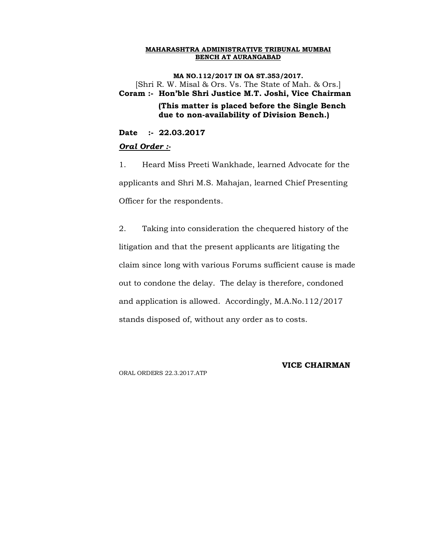**MA NO.112/2017 IN OA ST.353/2017.** [Shri R. W. Misal & Ors. Vs. The State of Mah. & Ors.] **Coram :- Hon'ble Shri Justice M.T. Joshi, Vice Chairman (This matter is placed before the Single Bench due to non-availability of Division Bench.)**

**Date :- 22.03.2017**

#### *Oral Order :-*

1. Heard Miss Preeti Wankhade, learned Advocate for the applicants and Shri M.S. Mahajan, learned Chief Presenting Officer for the respondents.

2. Taking into consideration the chequered history of the litigation and that the present applicants are litigating the claim since long with various Forums sufficient cause is made out to condone the delay. The delay is therefore, condoned and application is allowed. Accordingly, M.A.No.112/2017 stands disposed of, without any order as to costs.

ORAL ORDERS 22.3.2017.ATP

#### **VICE CHAIRMAN**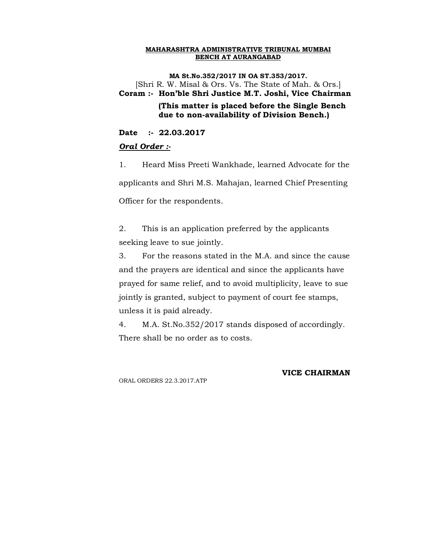**MA St.No.352/2017 IN OA ST.353/2017.** [Shri R. W. Misal & Ors. Vs. The State of Mah. & Ors.] **Coram :- Hon'ble Shri Justice M.T. Joshi, Vice Chairman (This matter is placed before the Single Bench due to non-availability of Division Bench.)**

**Date :- 22.03.2017**

#### *Oral Order :-*

1. Heard Miss Preeti Wankhade, learned Advocate for the applicants and Shri M.S. Mahajan, learned Chief Presenting Officer for the respondents.

2. This is an application preferred by the applicants seeking leave to sue jointly.

3. For the reasons stated in the M.A. and since the cause and the prayers are identical and since the applicants have prayed for same relief, and to avoid multiplicity, leave to sue jointly is granted, subject to payment of court fee stamps, unless it is paid already.

4. M.A. St.No.352/2017 stands disposed of accordingly. There shall be no order as to costs.

ORAL ORDERS 22.3.2017.ATP

## **VICE CHAIRMAN**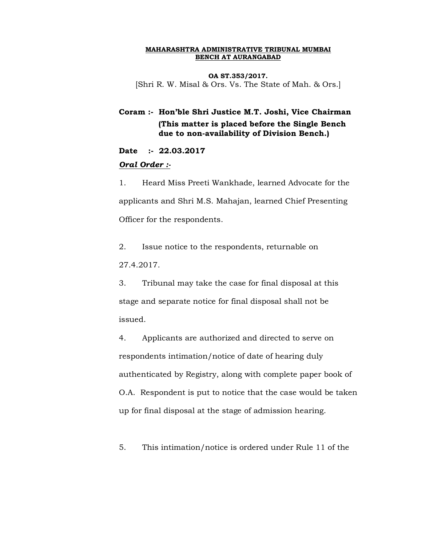**OA ST.353/2017.** [Shri R. W. Misal & Ors. Vs. The State of Mah. & Ors.]

**Coram :- Hon'ble Shri Justice M.T. Joshi, Vice Chairman (This matter is placed before the Single Bench due to non-availability of Division Bench.)**

**Date :- 22.03.2017**

#### *Oral Order :-*

1. Heard Miss Preeti Wankhade, learned Advocate for the applicants and Shri M.S. Mahajan, learned Chief Presenting Officer for the respondents.

2. Issue notice to the respondents, returnable on 27.4.2017.

3. Tribunal may take the case for final disposal at this stage and separate notice for final disposal shall not be issued.

4. Applicants are authorized and directed to serve on respondents intimation/notice of date of hearing duly authenticated by Registry, along with complete paper book of O.A. Respondent is put to notice that the case would be taken up for final disposal at the stage of admission hearing.

5. This intimation/notice is ordered under Rule 11 of the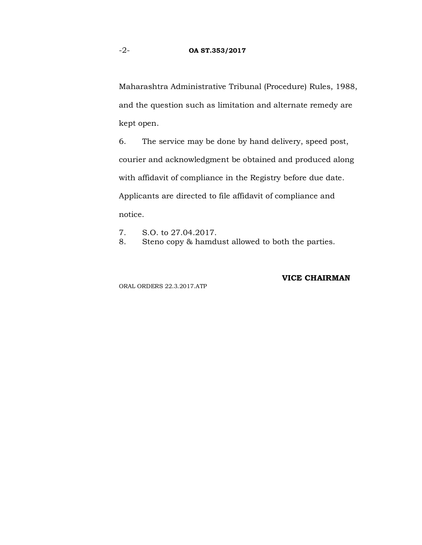Maharashtra Administrative Tribunal (Procedure) Rules, 1988, and the question such as limitation and alternate remedy are kept open.

6. The service may be done by hand delivery, speed post, courier and acknowledgment be obtained and produced along with affidavit of compliance in the Registry before due date. Applicants are directed to file affidavit of compliance and notice.

- 7. S.O. to 27.04.2017.
- 8. Steno copy & hamdust allowed to both the parties.

#### **VICE CHAIRMAN**

ORAL ORDERS 22.3.2017.ATP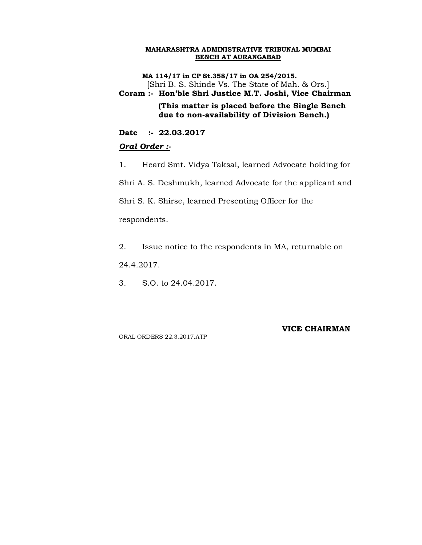**MA 114/17 in CP St.358/17 in OA 254/2015.** [Shri B. S. Shinde Vs. The State of Mah. & Ors.]

**Coram :- Hon'ble Shri Justice M.T. Joshi, Vice Chairman (This matter is placed before the Single Bench due to non-availability of Division Bench.)**

**Date :- 22.03.2017**

#### *Oral Order :-*

1. Heard Smt. Vidya Taksal, learned Advocate holding for

Shri A. S. Deshmukh, learned Advocate for the applicant and

Shri S. K. Shirse, learned Presenting Officer for the

respondents.

2. Issue notice to the respondents in MA, returnable on

24.4.2017.

3. S.O. to 24.04.2017.

ORAL ORDERS 22.3.2017.ATP

#### **VICE CHAIRMAN**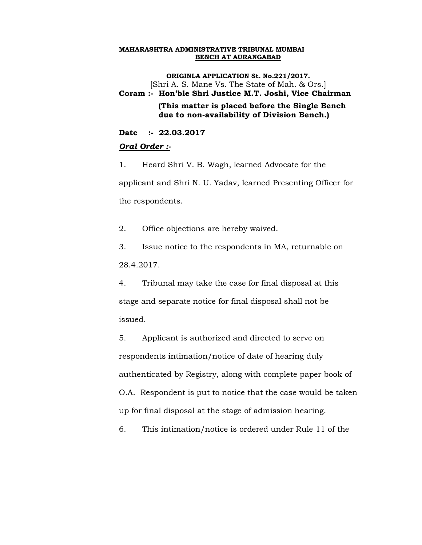**ORIGINLA APPLICATION St. No.221/2017.** [Shri A. S. Mane Vs. The State of Mah. & Ors.] **Coram :- Hon'ble Shri Justice M.T. Joshi, Vice Chairman (This matter is placed before the Single Bench due to non-availability of Division Bench.)**

**Date :- 22.03.2017**

#### *Oral Order :-*

1. Heard Shri V. B. Wagh, learned Advocate for the applicant and Shri N. U. Yadav, learned Presenting Officer for the respondents.

2. Office objections are hereby waived.

3. Issue notice to the respondents in MA, returnable on 28.4.2017.

4. Tribunal may take the case for final disposal at this stage and separate notice for final disposal shall not be issued.

5. Applicant is authorized and directed to serve on respondents intimation/notice of date of hearing duly authenticated by Registry, along with complete paper book of O.A. Respondent is put to notice that the case would be taken up for final disposal at the stage of admission hearing.

6. This intimation/notice is ordered under Rule 11 of the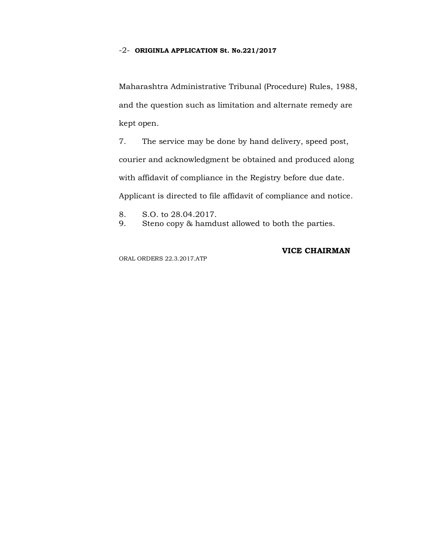#### -2- **ORIGINLA APPLICATION St. No.221/2017**

Maharashtra Administrative Tribunal (Procedure) Rules, 1988, and the question such as limitation and alternate remedy are kept open.

7. The service may be done by hand delivery, speed post, courier and acknowledgment be obtained and produced along with affidavit of compliance in the Registry before due date. Applicant is directed to file affidavit of compliance and notice.

- 8. S.O. to 28.04.2017.
- 9. Steno copy & hamdust allowed to both the parties.

ORAL ORDERS 22.3.2017.ATP

## **VICE CHAIRMAN**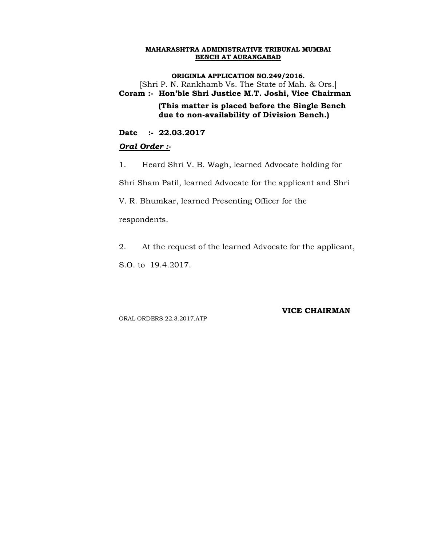**ORIGINLA APPLICATION NO.249/2016.** [Shri P. N. Rankhamb Vs. The State of Mah. & Ors.] **Coram :- Hon'ble Shri Justice M.T. Joshi, Vice Chairman (This matter is placed before the Single Bench due to non-availability of Division Bench.)**

**Date :- 22.03.2017**

#### *Oral Order :-*

1. Heard Shri V. B. Wagh, learned Advocate holding for

Shri Sham Patil, learned Advocate for the applicant and Shri

V. R. Bhumkar, learned Presenting Officer for the

respondents.

2. At the request of the learned Advocate for the applicant,

S.O. to 19.4.2017.

ORAL ORDERS 22.3.2017.ATP

#### **VICE CHAIRMAN**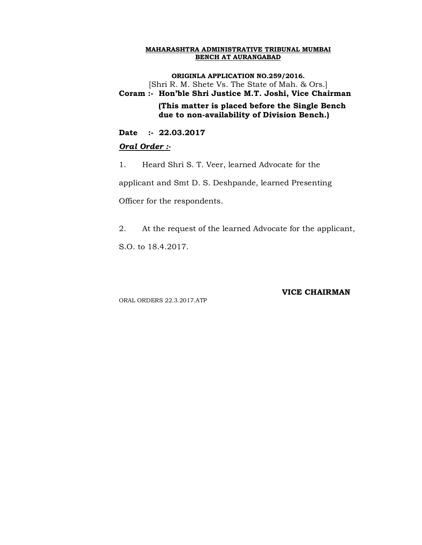**ORIGINLA APPLICATION NO.259/2016.** [Shri R. M. Shete Vs. The State of Mah. & Ors.] **Coram :- Hon'ble Shri Justice M.T. Joshi, Vice Chairman (This matter is placed before the Single Bench due to non-availability of Division Bench.)**

**Date :- 22.03.2017**

### *Oral Order :-*

1. Heard Shri S. T. Veer, learned Advocate for the

applicant and Smt D. S. Deshpande, learned Presenting

Officer for the respondents.

2. At the request of the learned Advocate for the applicant,

S.O. to 18.4.2017.

### **VICE CHAIRMAN**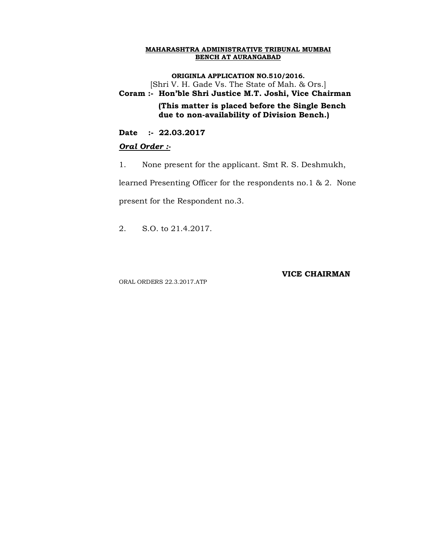**ORIGINLA APPLICATION NO.510/2016.** [Shri V. H. Gade Vs. The State of Mah. & Ors.] **Coram :- Hon'ble Shri Justice M.T. Joshi, Vice Chairman (This matter is placed before the Single Bench due to non-availability of Division Bench.)**

**Date :- 22.03.2017**

### *Oral Order :-*

1. None present for the applicant. Smt R. S. Deshmukh,

learned Presenting Officer for the respondents no.1 & 2. None

present for the Respondent no.3.

2. S.O. to 21.4.2017.

ORAL ORDERS 22.3.2017.ATP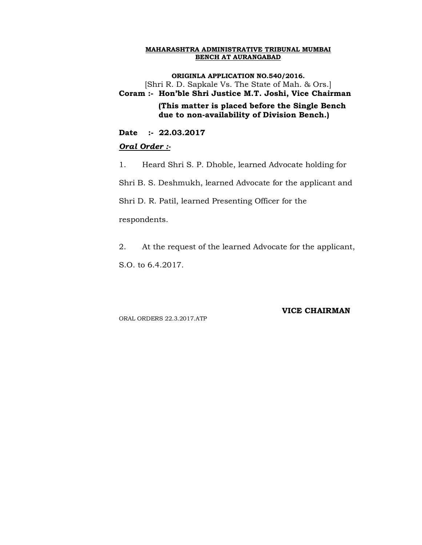**ORIGINLA APPLICATION NO.540/2016.** [Shri R. D. Sapkale Vs. The State of Mah. & Ors.] **Coram :- Hon'ble Shri Justice M.T. Joshi, Vice Chairman (This matter is placed before the Single Bench due to non-availability of Division Bench.)**

**Date :- 22.03.2017**

# *Oral Order :-*

1. Heard Shri S. P. Dhoble, learned Advocate holding for

Shri B. S. Deshmukh, learned Advocate for the applicant and

Shri D. R. Patil, learned Presenting Officer for the

respondents.

2. At the request of the learned Advocate for the applicant,

S.O. to 6.4.2017.

ORAL ORDERS 22.3.2017.ATP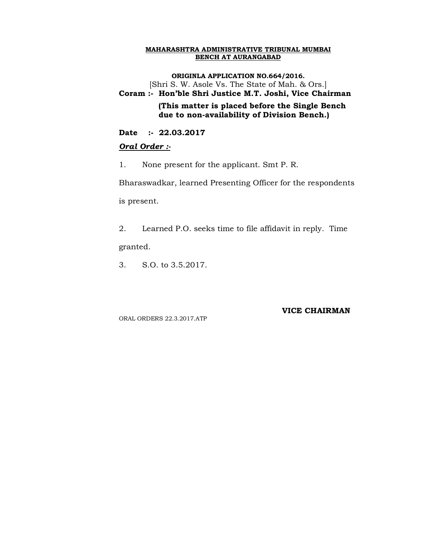**ORIGINLA APPLICATION NO.664/2016.**

[Shri S. W. Asole Vs. The State of Mah. & Ors.]

**Coram :- Hon'ble Shri Justice M.T. Joshi, Vice Chairman (This matter is placed before the Single Bench due to non-availability of Division Bench.)**

**Date :- 22.03.2017**

# *Oral Order :-*

1. None present for the applicant. Smt P. R.

Bharaswadkar, learned Presenting Officer for the respondents is present.

2. Learned P.O. seeks time to file affidavit in reply. Time granted.

3. S.O. to 3.5.2017.

ORAL ORDERS 22.3.2017.ATP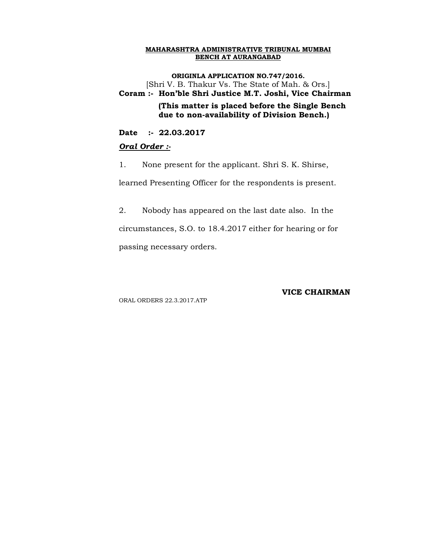**ORIGINLA APPLICATION NO.747/2016.** [Shri V. B. Thakur Vs. The State of Mah. & Ors.] **Coram :- Hon'ble Shri Justice M.T. Joshi, Vice Chairman (This matter is placed before the Single Bench due to non-availability of Division Bench.)**

**Date :- 22.03.2017**

### *Oral Order :-*

1. None present for the applicant. Shri S. K. Shirse,

learned Presenting Officer for the respondents is present.

2. Nobody has appeared on the last date also. In the circumstances, S.O. to 18.4.2017 either for hearing or for passing necessary orders.

### **VICE CHAIRMAN**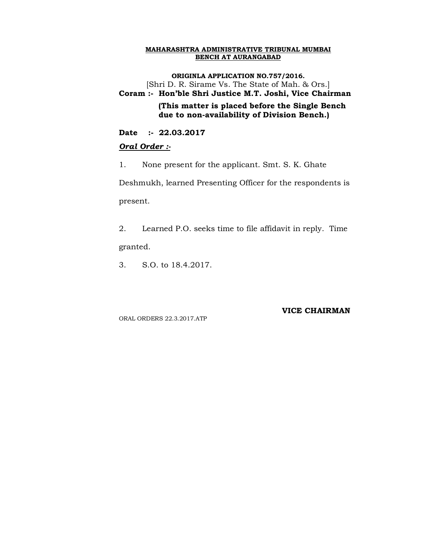**ORIGINLA APPLICATION NO.757/2016.**

[Shri D. R. Sirame Vs. The State of Mah. & Ors.]

**Coram :- Hon'ble Shri Justice M.T. Joshi, Vice Chairman (This matter is placed before the Single Bench** 

 **due to non-availability of Division Bench.)**

**Date :- 22.03.2017**

# *Oral Order :-*

1. None present for the applicant. Smt. S. K. Ghate

Deshmukh, learned Presenting Officer for the respondents is present.

2. Learned P.O. seeks time to file affidavit in reply. Time granted.

3. S.O. to 18.4.2017.

ORAL ORDERS 22.3.2017.ATP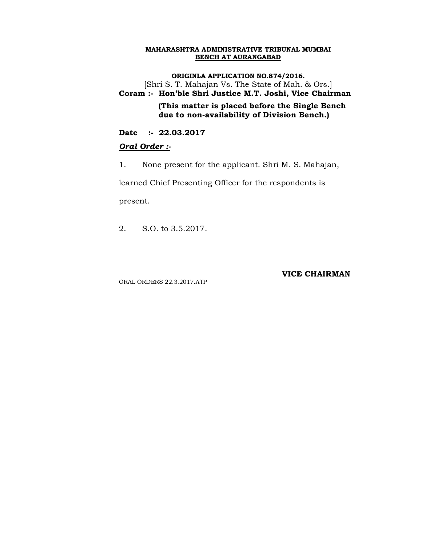**ORIGINLA APPLICATION NO.874/2016.** [Shri S. T. Mahajan Vs. The State of Mah. & Ors.] **Coram :- Hon'ble Shri Justice M.T. Joshi, Vice Chairman**

 **(This matter is placed before the Single Bench due to non-availability of Division Bench.)**

**Date :- 22.03.2017**

### *Oral Order :-*

1. None present for the applicant. Shri M. S. Mahajan,

learned Chief Presenting Officer for the respondents is

present.

2. S.O. to 3.5.2017.

ORAL ORDERS 22.3.2017.ATP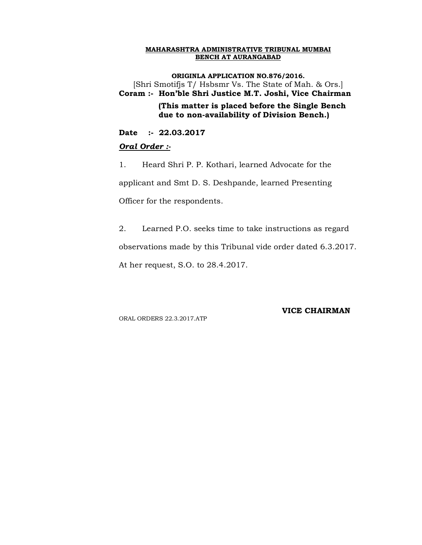**ORIGINLA APPLICATION NO.876/2016.** [Shri Smotifjs T/ Hsbsmr Vs. The State of Mah. & Ors.] **Coram :- Hon'ble Shri Justice M.T. Joshi, Vice Chairman (This matter is placed before the Single Bench due to non-availability of Division Bench.)**

**Date :- 22.03.2017**

### *Oral Order :-*

1. Heard Shri P. P. Kothari, learned Advocate for the applicant and Smt D. S. Deshpande, learned Presenting Officer for the respondents.

2. Learned P.O. seeks time to take instructions as regard observations made by this Tribunal vide order dated 6.3.2017. At her request, S.O. to 28.4.2017.

ORAL ORDERS 22.3.2017.ATP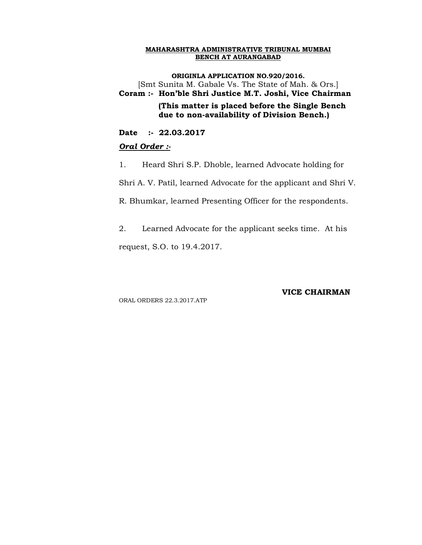**ORIGINLA APPLICATION NO.920/2016.** [Smt Sunita M. Gabale Vs. The State of Mah. & Ors.] **Coram :- Hon'ble Shri Justice M.T. Joshi, Vice Chairman (This matter is placed before the Single Bench due to non-availability of Division Bench.)**

**Date :- 22.03.2017**

### *Oral Order :-*

1. Heard Shri S.P. Dhoble, learned Advocate holding for

Shri A. V. Patil, learned Advocate for the applicant and Shri V.

R. Bhumkar, learned Presenting Officer for the respondents.

2. Learned Advocate for the applicant seeks time. At his request, S.O. to 19.4.2017.

**VICE CHAIRMAN**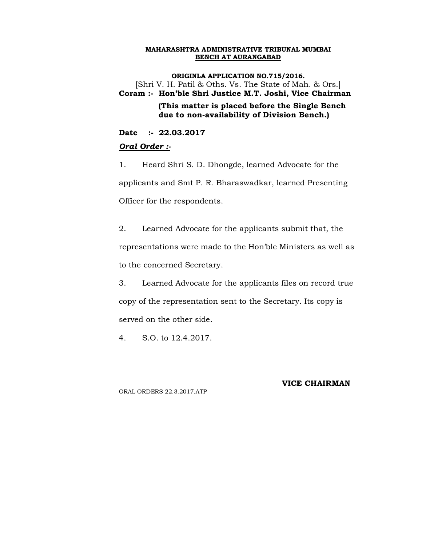**ORIGINLA APPLICATION NO.715/2016.** [Shri V. H. Patil & Oths. Vs. The State of Mah. & Ors.] **Coram :- Hon'ble Shri Justice M.T. Joshi, Vice Chairman (This matter is placed before the Single Bench due to non-availability of Division Bench.)**

**Date :- 22.03.2017**

### *Oral Order :-*

1. Heard Shri S. D. Dhongde, learned Advocate for the applicants and Smt P. R. Bharaswadkar, learned Presenting Officer for the respondents.

2. Learned Advocate for the applicants submit that, the representations were made to the Hon'ble Ministers as well as to the concerned Secretary.

3. Learned Advocate for the applicants files on record true copy of the representation sent to the Secretary. Its copy is served on the other side.

4. S.O. to 12.4.2017.

### **VICE CHAIRMAN**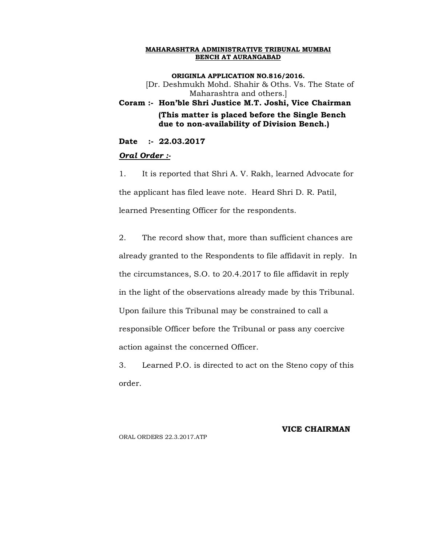**ORIGINLA APPLICATION NO.816/2016.** [Dr. Deshmukh Mohd. Shahir & Oths. Vs. The State of Maharashtra and others.] **Coram :- Hon'ble Shri Justice M.T. Joshi, Vice Chairman (This matter is placed before the Single Bench due to non-availability of Division Bench.)**

# **Date :- 22.03.2017**

# *Oral Order :-*

1. It is reported that Shri A. V. Rakh, learned Advocate for the applicant has filed leave note. Heard Shri D. R. Patil, learned Presenting Officer for the respondents.

2. The record show that, more than sufficient chances are already granted to the Respondents to file affidavit in reply. In the circumstances, S.O. to 20.4.2017 to file affidavit in reply in the light of the observations already made by this Tribunal. Upon failure this Tribunal may be constrained to call a responsible Officer before the Tribunal or pass any coercive action against the concerned Officer.

3. Learned P.O. is directed to act on the Steno copy of this order.

### **VICE CHAIRMAN**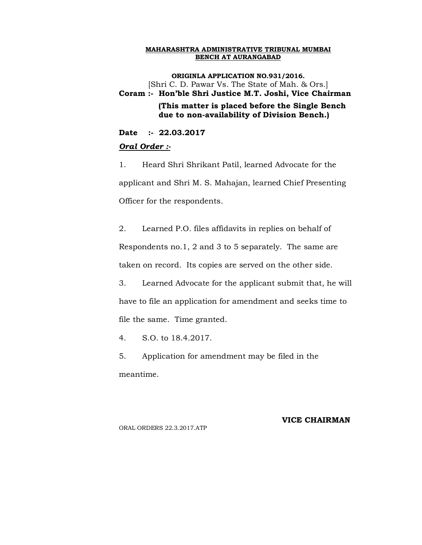**ORIGINLA APPLICATION NO.931/2016.** [Shri C. D. Pawar Vs. The State of Mah. & Ors.] **Coram :- Hon'ble Shri Justice M.T. Joshi, Vice Chairman (This matter is placed before the Single Bench due to non-availability of Division Bench.)**

**Date :- 22.03.2017**

### *Oral Order :-*

1. Heard Shri Shrikant Patil, learned Advocate for the applicant and Shri M. S. Mahajan, learned Chief Presenting Officer for the respondents.

2. Learned P.O. files affidavits in replies on behalf of Respondents no.1, 2 and 3 to 5 separately. The same are taken on record. Its copies are served on the other side.

3. Learned Advocate for the applicant submit that, he will have to file an application for amendment and seeks time to file the same. Time granted.

4. S.O. to 18.4.2017.

5. Application for amendment may be filed in the meantime.

### **VICE CHAIRMAN**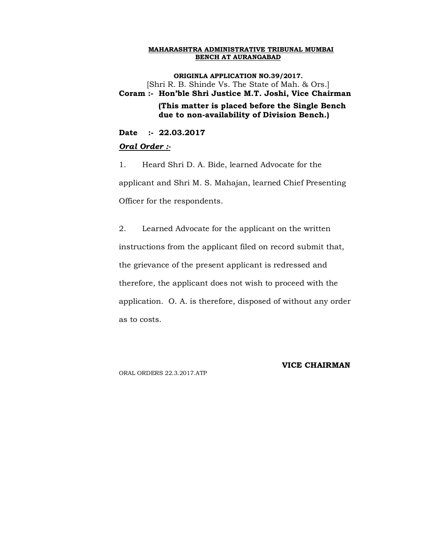**ORIGINLA APPLICATION NO.39/2017.** [Shri R. B. Shinde Vs. The State of Mah. & Ors.] **Coram :- Hon'ble Shri Justice M.T. Joshi, Vice Chairman (This matter is placed before the Single Bench due to non-availability of Division Bench.)**

**Date :- 22.03.2017**

### *Oral Order :-*

1. Heard Shri D. A. Bide, learned Advocate for the applicant and Shri M. S. Mahajan, learned Chief Presenting Officer for the respondents.

2. Learned Advocate for the applicant on the written instructions from the applicant filed on record submit that, the grievance of the present applicant is redressed and therefore, the applicant does not wish to proceed with the application. O. A. is therefore, disposed of without any order as to costs.

ORAL ORDERS 22.3.2017.ATP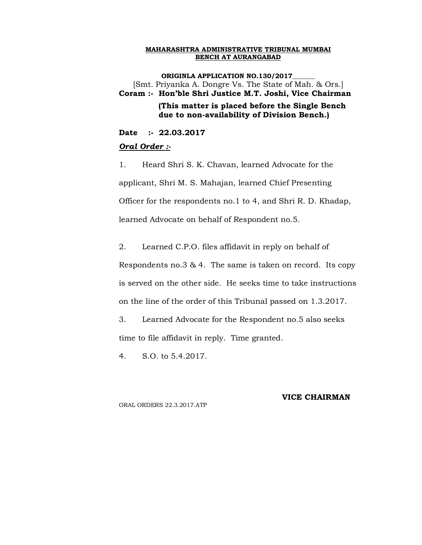**ORIGINLA APPLICATION NO.130/2017** [Smt. Priyanka A. Dongre Vs. The State of Mah. & Ors.] **Coram :- Hon'ble Shri Justice M.T. Joshi, Vice Chairman (This matter is placed before the Single Bench due to non-availability of Division Bench.)**

**Date :- 22.03.2017**

### *Oral Order :-*

1. Heard Shri S. K. Chavan, learned Advocate for the applicant, Shri M. S. Mahajan, learned Chief Presenting Officer for the respondents no.1 to 4, and Shri R. D. Khadap, learned Advocate on behalf of Respondent no.5.

2. Learned C.P.O. files affidavit in reply on behalf of

Respondents no.3 & 4. The same is taken on record. Its copy is served on the other side. He seeks time to take instructions on the line of the order of this Tribunal passed on 1.3.2017.

3. Learned Advocate for the Respondent no.5 also seeks time to file affidavit in reply. Time granted.

4. S.O. to 5.4.2017.

**VICE CHAIRMAN**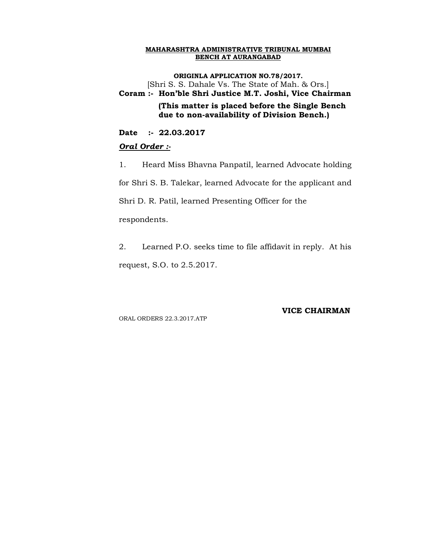**ORIGINLA APPLICATION NO.78/2017.** [Shri S. S. Dahale Vs. The State of Mah. & Ors.] **Coram :- Hon'ble Shri Justice M.T. Joshi, Vice Chairman (This matter is placed before the Single Bench due to non-availability of Division Bench.)**

**Date :- 22.03.2017**

### *Oral Order :-*

1. Heard Miss Bhavna Panpatil, learned Advocate holding

for Shri S. B. Talekar, learned Advocate for the applicant and

Shri D. R. Patil, learned Presenting Officer for the

respondents.

2. Learned P.O. seeks time to file affidavit in reply. At his request, S.O. to 2.5.2017.

ORAL ORDERS 22.3.2017.ATP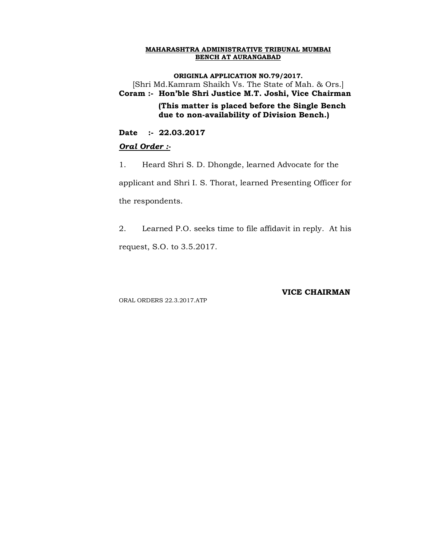**ORIGINLA APPLICATION NO.79/2017.** [Shri Md.Kamram Shaikh Vs. The State of Mah. & Ors.] **Coram :- Hon'ble Shri Justice M.T. Joshi, Vice Chairman (This matter is placed before the Single Bench due to non-availability of Division Bench.)**

**Date :- 22.03.2017**

### *Oral Order :-*

1. Heard Shri S. D. Dhongde, learned Advocate for the applicant and Shri I. S. Thorat, learned Presenting Officer for the respondents.

2. Learned P.O. seeks time to file affidavit in reply. At his request, S.O. to 3.5.2017.

ORAL ORDERS 22.3.2017.ATP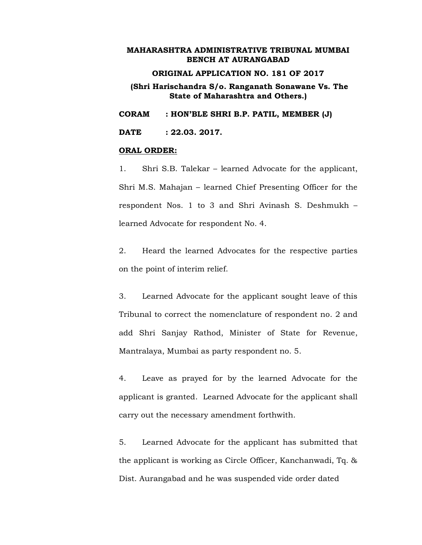### **ORIGINAL APPLICATION NO. 181 OF 2017**

**(Shri Harischandra S/o. Ranganath Sonawane Vs. The State of Maharashtra and Others.)**

**CORAM : HON'BLE SHRI B.P. PATIL, MEMBER (J)**

**DATE : 22.03. 2017.**

#### **ORAL ORDER:**

1. Shri S.B. Talekar – learned Advocate for the applicant, Shri M.S. Mahajan – learned Chief Presenting Officer for the respondent Nos. 1 to 3 and Shri Avinash S. Deshmukh – learned Advocate for respondent No. 4.

2. Heard the learned Advocates for the respective parties on the point of interim relief.

3. Learned Advocate for the applicant sought leave of this Tribunal to correct the nomenclature of respondent no. 2 and add Shri Sanjay Rathod, Minister of State for Revenue, Mantralaya, Mumbai as party respondent no. 5.

4. Leave as prayed for by the learned Advocate for the applicant is granted. Learned Advocate for the applicant shall carry out the necessary amendment forthwith.

5. Learned Advocate for the applicant has submitted that the applicant is working as Circle Officer, Kanchanwadi, Tq. & Dist. Aurangabad and he was suspended vide order dated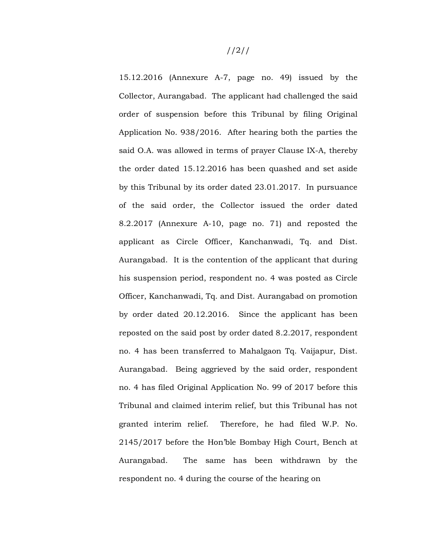15.12.2016 (Annexure A-7, page no. 49) issued by the Collector, Aurangabad. The applicant had challenged the said order of suspension before this Tribunal by filing Original Application No. 938/2016. After hearing both the parties the said O.A. was allowed in terms of prayer Clause IX-A, thereby the order dated 15.12.2016 has been quashed and set aside by this Tribunal by its order dated 23.01.2017. In pursuance of the said order, the Collector issued the order dated 8.2.2017 (Annexure A-10, page no. 71) and reposted the applicant as Circle Officer, Kanchanwadi, Tq. and Dist. Aurangabad. It is the contention of the applicant that during his suspension period, respondent no. 4 was posted as Circle Officer, Kanchanwadi, Tq. and Dist. Aurangabad on promotion by order dated 20.12.2016. Since the applicant has been reposted on the said post by order dated 8.2.2017, respondent no. 4 has been transferred to Mahalgaon Tq. Vaijapur, Dist. Aurangabad. Being aggrieved by the said order, respondent no. 4 has filed Original Application No. 99 of 2017 before this Tribunal and claimed interim relief, but this Tribunal has not granted interim relief. Therefore, he had filed W.P. No. 2145/2017 before the Hon'ble Bombay High Court, Bench at Aurangabad. The same has been withdrawn by the respondent no. 4 during the course of the hearing on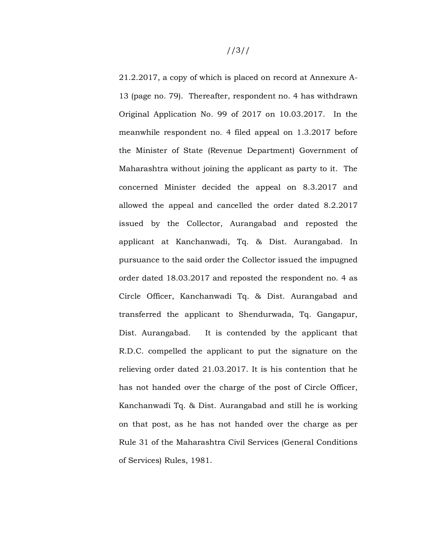21.2.2017, a copy of which is placed on record at Annexure A-13 (page no. 79). Thereafter, respondent no. 4 has withdrawn Original Application No. 99 of 2017 on 10.03.2017. In the meanwhile respondent no. 4 filed appeal on 1.3.2017 before the Minister of State (Revenue Department) Government of Maharashtra without joining the applicant as party to it. The concerned Minister decided the appeal on 8.3.2017 and allowed the appeal and cancelled the order dated 8.2.2017 issued by the Collector, Aurangabad and reposted the applicant at Kanchanwadi, Tq. & Dist. Aurangabad. In pursuance to the said order the Collector issued the impugned order dated 18.03.2017 and reposted the respondent no. 4 as Circle Officer, Kanchanwadi Tq. & Dist. Aurangabad and transferred the applicant to Shendurwada, Tq. Gangapur, Dist. Aurangabad. It is contended by the applicant that R.D.C. compelled the applicant to put the signature on the relieving order dated 21.03.2017. It is his contention that he has not handed over the charge of the post of Circle Officer, Kanchanwadi Tq. & Dist. Aurangabad and still he is working on that post, as he has not handed over the charge as per Rule 31 of the Maharashtra Civil Services (General Conditions of Services) Rules, 1981.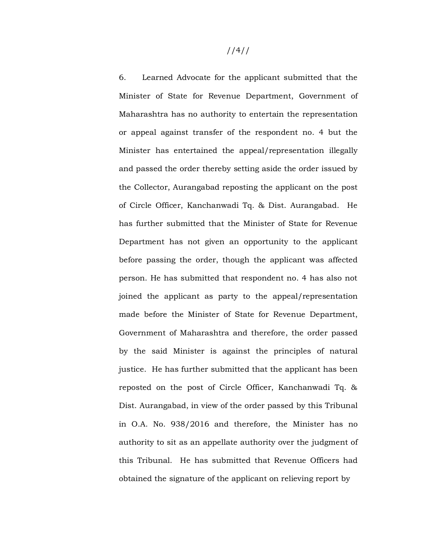//4//

6. Learned Advocate for the applicant submitted that the Minister of State for Revenue Department, Government of Maharashtra has no authority to entertain the representation or appeal against transfer of the respondent no. 4 but the Minister has entertained the appeal/representation illegally and passed the order thereby setting aside the order issued by the Collector, Aurangabad reposting the applicant on the post of Circle Officer, Kanchanwadi Tq. & Dist. Aurangabad. He has further submitted that the Minister of State for Revenue Department has not given an opportunity to the applicant before passing the order, though the applicant was affected person. He has submitted that respondent no. 4 has also not joined the applicant as party to the appeal/representation made before the Minister of State for Revenue Department, Government of Maharashtra and therefore, the order passed by the said Minister is against the principles of natural justice. He has further submitted that the applicant has been reposted on the post of Circle Officer, Kanchanwadi Tq. & Dist. Aurangabad, in view of the order passed by this Tribunal in O.A. No. 938/2016 and therefore, the Minister has no authority to sit as an appellate authority over the judgment of this Tribunal. He has submitted that Revenue Officers had obtained the signature of the applicant on relieving report by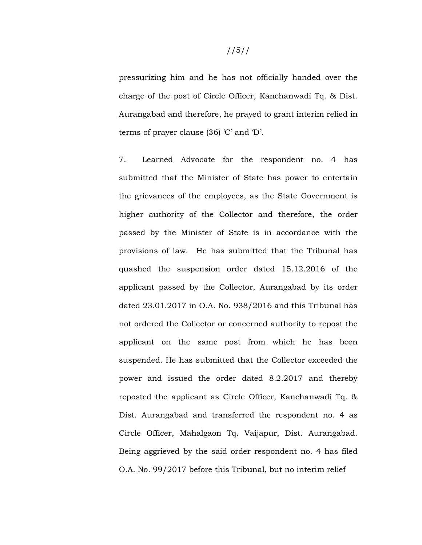pressurizing him and he has not officially handed over the charge of the post of Circle Officer, Kanchanwadi Tq. & Dist. Aurangabad and therefore, he prayed to grant interim relied in terms of prayer clause (36) 'C' and 'D'.

7. Learned Advocate for the respondent no. 4 has submitted that the Minister of State has power to entertain the grievances of the employees, as the State Government is higher authority of the Collector and therefore, the order passed by the Minister of State is in accordance with the provisions of law. He has submitted that the Tribunal has quashed the suspension order dated 15.12.2016 of the applicant passed by the Collector, Aurangabad by its order dated 23.01.2017 in O.A. No. 938/2016 and this Tribunal has not ordered the Collector or concerned authority to repost the applicant on the same post from which he has been suspended. He has submitted that the Collector exceeded the power and issued the order dated 8.2.2017 and thereby reposted the applicant as Circle Officer, Kanchanwadi Tq. & Dist. Aurangabad and transferred the respondent no. 4 as Circle Officer, Mahalgaon Tq. Vaijapur, Dist. Aurangabad. Being aggrieved by the said order respondent no. 4 has filed O.A. No. 99/2017 before this Tribunal, but no interim relief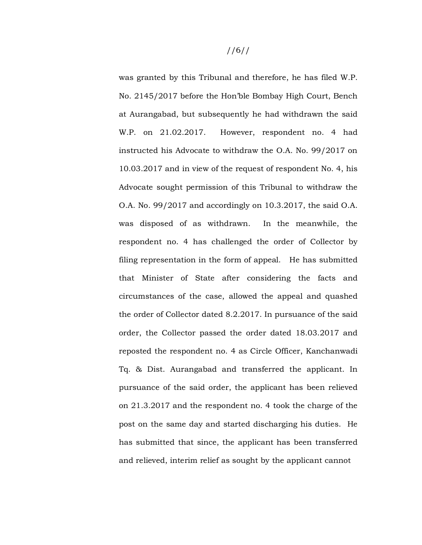was granted by this Tribunal and therefore, he has filed W.P. No. 2145/2017 before the Hon'ble Bombay High Court, Bench at Aurangabad, but subsequently he had withdrawn the said W.P. on 21.02.2017. However, respondent no. 4 had instructed his Advocate to withdraw the O.A. No. 99/2017 on 10.03.2017 and in view of the request of respondent No. 4, his Advocate sought permission of this Tribunal to withdraw the O.A. No. 99/2017 and accordingly on 10.3.2017, the said O.A. was disposed of as withdrawn. In the meanwhile, the respondent no. 4 has challenged the order of Collector by filing representation in the form of appeal. He has submitted that Minister of State after considering the facts and circumstances of the case, allowed the appeal and quashed the order of Collector dated 8.2.2017. In pursuance of the said order, the Collector passed the order dated 18.03.2017 and reposted the respondent no. 4 as Circle Officer, Kanchanwadi Tq. & Dist. Aurangabad and transferred the applicant. In pursuance of the said order, the applicant has been relieved on 21.3.2017 and the respondent no. 4 took the charge of the post on the same day and started discharging his duties. He has submitted that since, the applicant has been transferred and relieved, interim relief as sought by the applicant cannot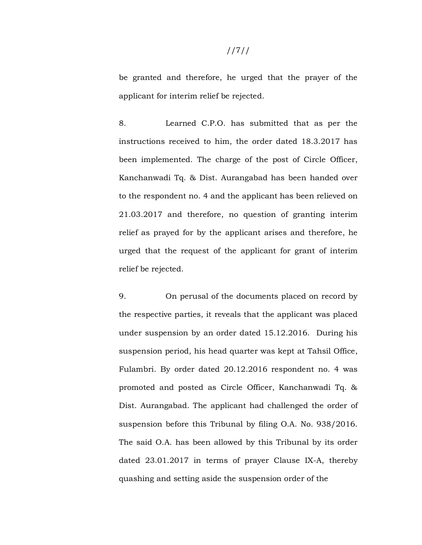# be granted and therefore, he urged that the prayer of the applicant for interim relief be rejected.

8. Learned C.P.O. has submitted that as per the instructions received to him, the order dated 18.3.2017 has been implemented. The charge of the post of Circle Officer, Kanchanwadi Tq. & Dist. Aurangabad has been handed over to the respondent no. 4 and the applicant has been relieved on 21.03.2017 and therefore, no question of granting interim relief as prayed for by the applicant arises and therefore, he urged that the request of the applicant for grant of interim relief be rejected.

9. On perusal of the documents placed on record by the respective parties, it reveals that the applicant was placed under suspension by an order dated 15.12.2016. During his suspension period, his head quarter was kept at Tahsil Office, Fulambri. By order dated 20.12.2016 respondent no. 4 was promoted and posted as Circle Officer, Kanchanwadi Tq. & Dist. Aurangabad. The applicant had challenged the order of suspension before this Tribunal by filing O.A. No. 938/2016. The said O.A. has been allowed by this Tribunal by its order dated 23.01.2017 in terms of prayer Clause IX-A, thereby quashing and setting aside the suspension order of the

# //7//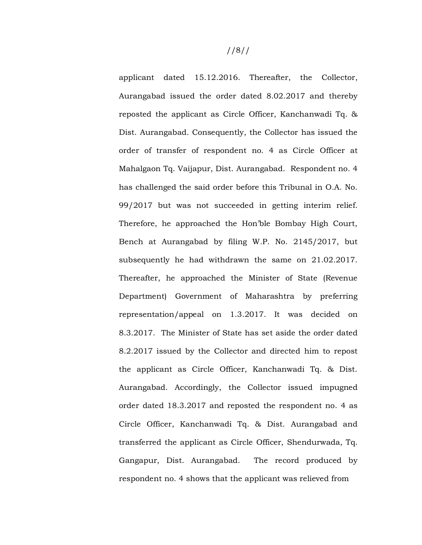applicant dated 15.12.2016. Thereafter, the Collector, Aurangabad issued the order dated 8.02.2017 and thereby reposted the applicant as Circle Officer, Kanchanwadi Tq. & Dist. Aurangabad. Consequently, the Collector has issued the order of transfer of respondent no. 4 as Circle Officer at Mahalgaon Tq. Vaijapur, Dist. Aurangabad. Respondent no. 4 has challenged the said order before this Tribunal in O.A. No. 99/2017 but was not succeeded in getting interim relief. Therefore, he approached the Hon'ble Bombay High Court, Bench at Aurangabad by filing W.P. No. 2145/2017, but subsequently he had withdrawn the same on 21.02.2017. Thereafter, he approached the Minister of State (Revenue Department) Government of Maharashtra by preferring representation/appeal on 1.3.2017. It was decided on 8.3.2017. The Minister of State has set aside the order dated 8.2.2017 issued by the Collector and directed him to repost the applicant as Circle Officer, Kanchanwadi Tq. & Dist. Aurangabad. Accordingly, the Collector issued impugned order dated 18.3.2017 and reposted the respondent no. 4 as Circle Officer, Kanchanwadi Tq. & Dist. Aurangabad and transferred the applicant as Circle Officer, Shendurwada, Tq. Gangapur, Dist. Aurangabad. The record produced by respondent no. 4 shows that the applicant was relieved from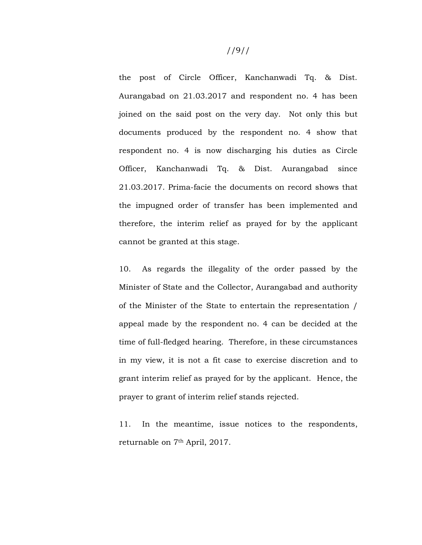the post of Circle Officer, Kanchanwadi Tq. & Dist. Aurangabad on 21.03.2017 and respondent no. 4 has been joined on the said post on the very day. Not only this but documents produced by the respondent no. 4 show that respondent no. 4 is now discharging his duties as Circle Officer, Kanchanwadi Tq. & Dist. Aurangabad since 21.03.2017. Prima-facie the documents on record shows that the impugned order of transfer has been implemented and therefore, the interim relief as prayed for by the applicant cannot be granted at this stage.

10. As regards the illegality of the order passed by the Minister of State and the Collector, Aurangabad and authority of the Minister of the State to entertain the representation / appeal made by the respondent no. 4 can be decided at the time of full-fledged hearing. Therefore, in these circumstances in my view, it is not a fit case to exercise discretion and to grant interim relief as prayed for by the applicant. Hence, the prayer to grant of interim relief stands rejected.

11. In the meantime, issue notices to the respondents, returnable on 7th April, 2017.